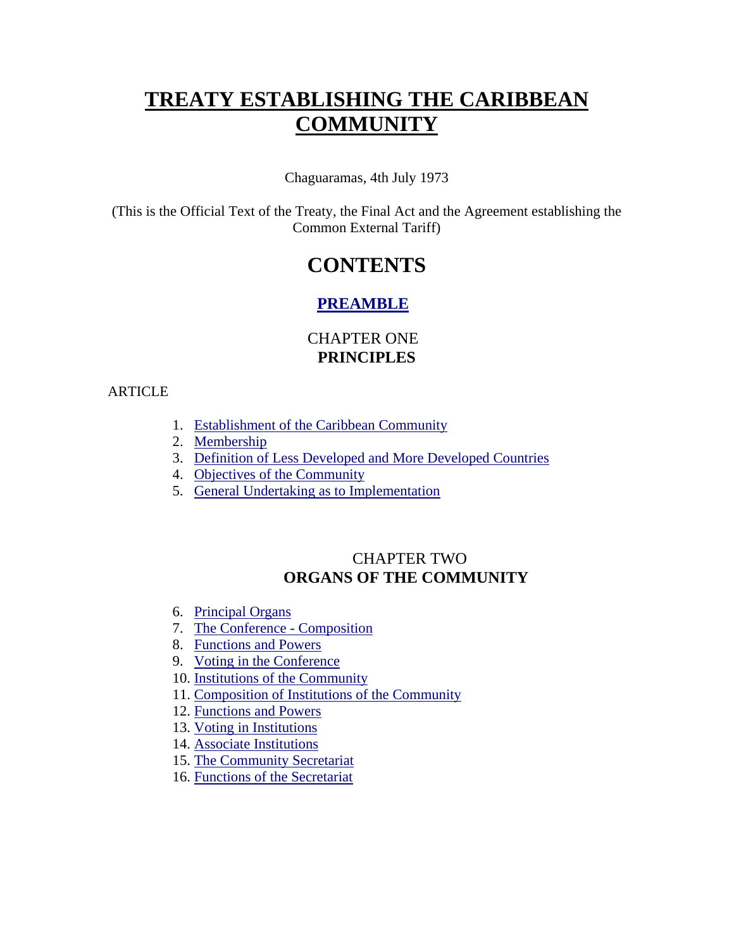# **TREATY ESTABLISHING THE CARIBBEAN COMMUNITY**

Chaguaramas, 4th July 1973

(This is the Official Text of the Treaty, the Final Act and the Agreement establishing the Common External Tariff)

# **CONTENTS**

# **PREAMBLE**

# CHAPTER ONE **PRINCIPLES**

# **ARTICLE**

- 1. Establishment of the Caribbean Community
- 2. Membership
- 3. Definition of Less Developed and More Developed Countries
- 4. Objectives of the Community
- 5. General Undertaking as to Implementation

# CHAPTER TWO **ORGANS OF THE COMMUNITY**

- 6. Principal Organs
- 7. The Conference Composition
- 8. Functions and Powers
- 9. Voting in the Conference
- 10. Institutions of the Community
- 11. Composition of Institutions of the Community
- 12. Functions and Powers
- 13. Voting in Institutions
- 14. Associate Institutions
- 15. The Community Secretariat
- 16. Functions of the Secretariat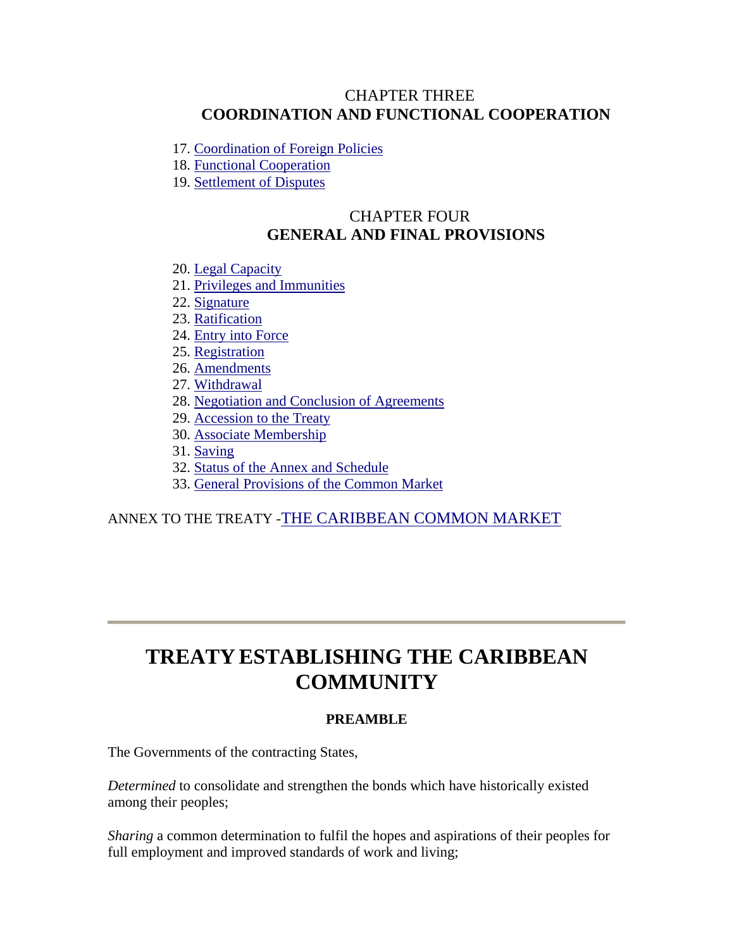# CHAPTER THREE **COORDINATION AND FUNCTIONAL COOPERATION**

- 17. Coordination of Foreign Policies
- 18. Functional Cooperation

19. Settlement of Disputes

# CHAPTER FOUR **GENERAL AND FINAL PROVISIONS**

- 20. Legal Capacity
- 21. Privileges and Immunities
- 22. Signature
- 23. Ratification
- 24. Entry into Force
- 25. Registration
- 26. Amendments
- 27. Withdrawal
- 28. Negotiation and Conclusion of Agreements
- 29. Accession to the Treaty
- 30. Associate Membership
- 31. Saving
- 32. Status of the Annex and Schedule
- 33. General Provisions of the Common Market

ANNEX TO THE TREATY -THE CARIBBEAN COMMON MARKET

# **TREATY ESTABLISHING THE CARIBBEAN COMMUNITY**

#### **PREAMBLE**

The Governments of the contracting States,

*Determined* to consolidate and strengthen the bonds which have historically existed among their peoples;

*Sharing* a common determination to fulfil the hopes and aspirations of their peoples for full employment and improved standards of work and living;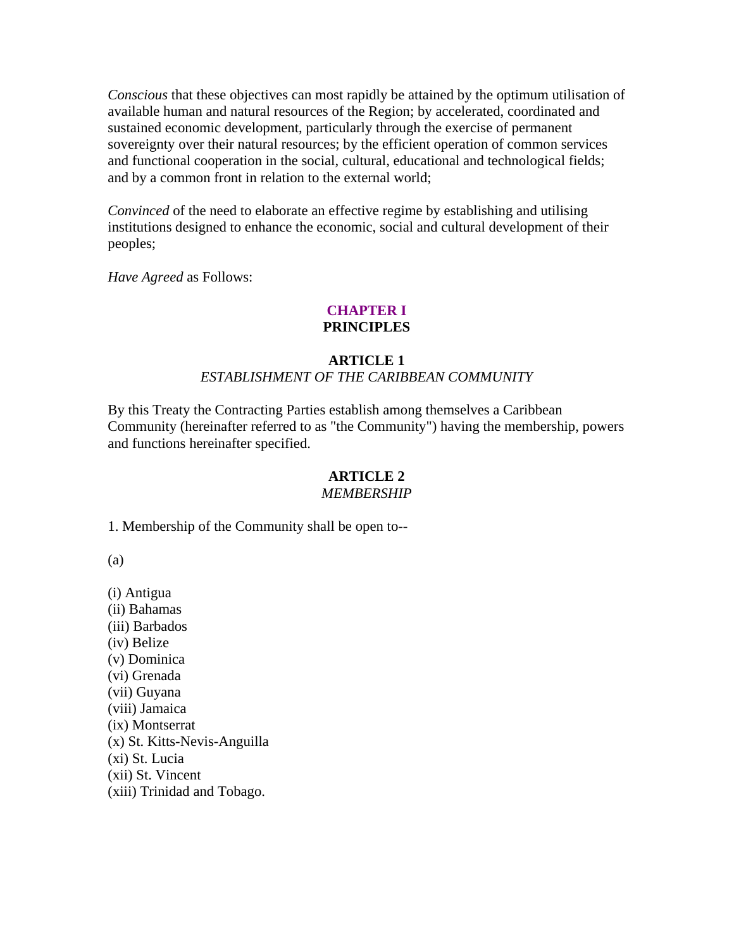*Conscious* that these objectives can most rapidly be attained by the optimum utilisation of available human and natural resources of the Region; by accelerated, coordinated and sustained economic development, particularly through the exercise of permanent sovereignty over their natural resources; by the efficient operation of common services and functional cooperation in the social, cultural, educational and technological fields; and by a common front in relation to the external world;

*Convinced* of the need to elaborate an effective regime by establishing and utilising institutions designed to enhance the economic, social and cultural development of their peoples;

*Have Agreed* as Follows:

#### **CHAPTER I PRINCIPLES**

#### **ARTICLE 1**

#### *ESTABLISHMENT OF THE CARIBBEAN COMMUNITY*

By this Treaty the Contracting Parties establish among themselves a Caribbean Community (hereinafter referred to as "the Community") having the membership, powers and functions hereinafter specified.

# **ARTICLE 2**

#### *MEMBERSHIP*

1. Membership of the Community shall be open to--

(a)

(i) Antigua (ii) Bahamas (iii) Barbados (iv) Belize (v) Dominica (vi) Grenada (vii) Guyana (viii) Jamaica (ix) Montserrat (x) St. Kitts-Nevis-Anguilla (xi) St. Lucia (xii) St. Vincent (xiii) Trinidad and Tobago.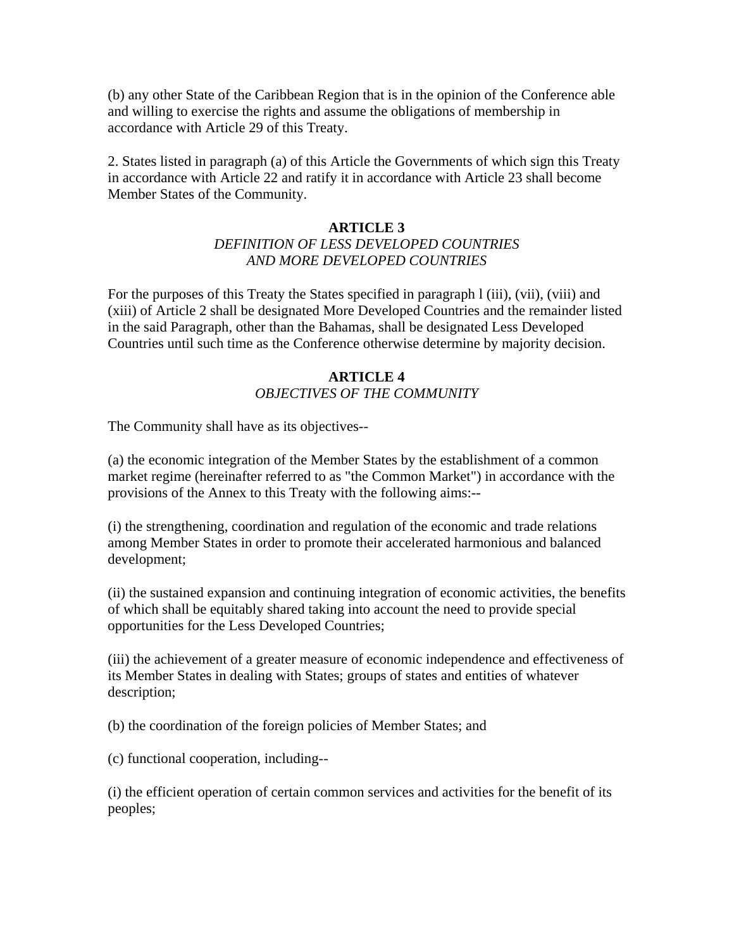(b) any other State of the Caribbean Region that is in the opinion of the Conference able and willing to exercise the rights and assume the obligations of membership in accordance with Article 29 of this Treaty.

2. States listed in paragraph (a) of this Article the Governments of which sign this Treaty in accordance with Article 22 and ratify it in accordance with Article 23 shall become Member States of the Community.

#### **ARTICLE 3** *DEFINITION OF LESS DEVELOPED COUNTRIES AND MORE DEVELOPED COUNTRIES*

For the purposes of this Treaty the States specified in paragraph l (iii), (vii), (viii) and (xiii) of Article 2 shall be designated More Developed Countries and the remainder listed in the said Paragraph, other than the Bahamas, shall be designated Less Developed Countries until such time as the Conference otherwise determine by majority decision.

### **ARTICLE 4** *OBJECTIVES OF THE COMMUNITY*

The Community shall have as its objectives--

(a) the economic integration of the Member States by the establishment of a common market regime (hereinafter referred to as "the Common Market") in accordance with the provisions of the Annex to this Treaty with the following aims:--

(i) the strengthening, coordination and regulation of the economic and trade relations among Member States in order to promote their accelerated harmonious and balanced development;

(ii) the sustained expansion and continuing integration of economic activities, the benefits of which shall be equitably shared taking into account the need to provide special opportunities for the Less Developed Countries;

(iii) the achievement of a greater measure of economic independence and effectiveness of its Member States in dealing with States; groups of states and entities of whatever description;

(b) the coordination of the foreign policies of Member States; and

(c) functional cooperation, including--

(i) the efficient operation of certain common services and activities for the benefit of its peoples;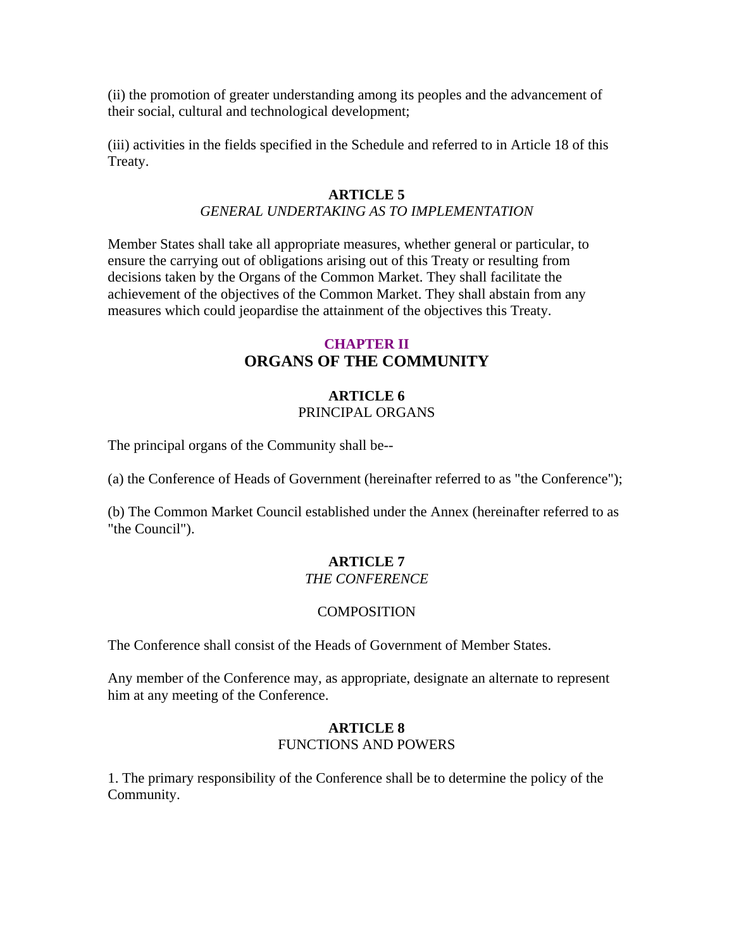(ii) the promotion of greater understanding among its peoples and the advancement of their social, cultural and technological development;

(iii) activities in the fields specified in the Schedule and referred to in Article 18 of this Treaty.

#### **ARTICLE 5**

#### *GENERAL UNDERTAKING AS TO IMPLEMENTATION*

Member States shall take all appropriate measures, whether general or particular, to ensure the carrying out of obligations arising out of this Treaty or resulting from decisions taken by the Organs of the Common Market. They shall facilitate the achievement of the objectives of the Common Market. They shall abstain from any measures which could jeopardise the attainment of the objectives this Treaty.

# **CHAPTER II ORGANS OF THE COMMUNITY**

### **ARTICLE 6**  PRINCIPAL ORGANS

The principal organs of the Community shall be--

(a) the Conference of Heads of Government (hereinafter referred to as "the Conference");

(b) The Common Market Council established under the Annex (hereinafter referred to as "the Council").

# **ARTICLE 7**

#### *THE CONFERENCE*

#### **COMPOSITION**

The Conference shall consist of the Heads of Government of Member States.

Any member of the Conference may, as appropriate, designate an alternate to represent him at any meeting of the Conference.

#### **ARTICLE 8**  FUNCTIONS AND POWERS

1. The primary responsibility of the Conference shall be to determine the policy of the Community.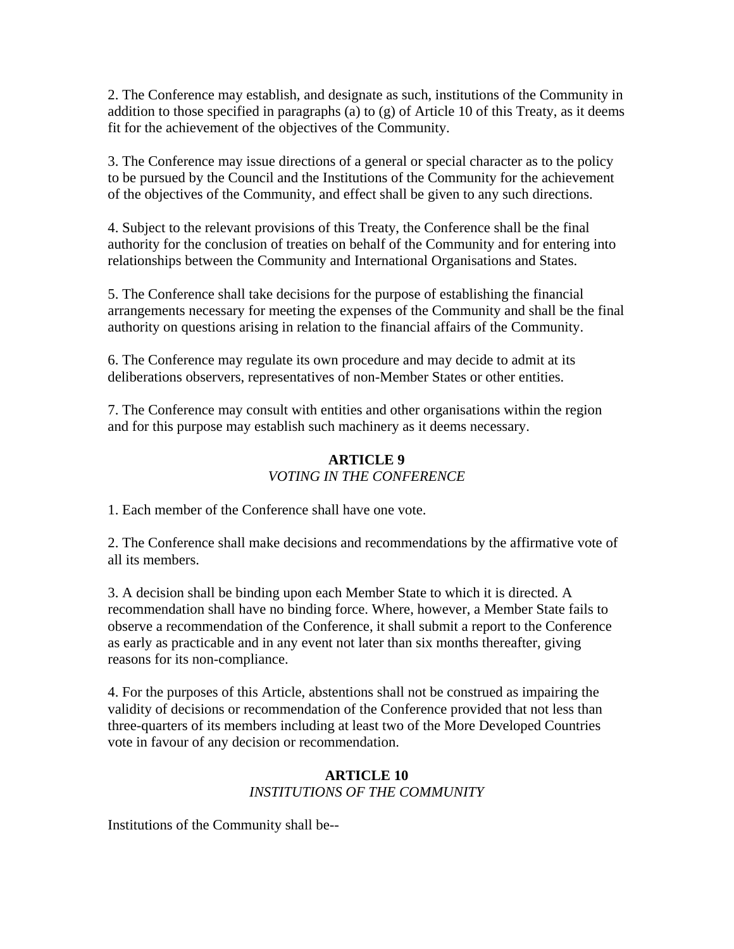2. The Conference may establish, and designate as such, institutions of the Community in addition to those specified in paragraphs (a) to (g) of Article 10 of this Treaty, as it deems fit for the achievement of the objectives of the Community.

3. The Conference may issue directions of a general or special character as to the policy to be pursued by the Council and the Institutions of the Community for the achievement of the objectives of the Community, and effect shall be given to any such directions.

4. Subject to the relevant provisions of this Treaty, the Conference shall be the final authority for the conclusion of treaties on behalf of the Community and for entering into relationships between the Community and International Organisations and States.

5. The Conference shall take decisions for the purpose of establishing the financial arrangements necessary for meeting the expenses of the Community and shall be the final authority on questions arising in relation to the financial affairs of the Community.

6. The Conference may regulate its own procedure and may decide to admit at its deliberations observers, representatives of non-Member States or other entities.

7. The Conference may consult with entities and other organisations within the region and for this purpose may establish such machinery as it deems necessary.

### **ARTICLE 9** *VOTING IN THE CONFERENCE*

1. Each member of the Conference shall have one vote.

2. The Conference shall make decisions and recommendations by the affirmative vote of all its members.

3. A decision shall be binding upon each Member State to which it is directed. A recommendation shall have no binding force. Where, however, a Member State fails to observe a recommendation of the Conference, it shall submit a report to the Conference as early as practicable and in any event not later than six months thereafter, giving reasons for its non-compliance.

4. For the purposes of this Article, abstentions shall not be construed as impairing the validity of decisions or recommendation of the Conference provided that not less than three-quarters of its members including at least two of the More Developed Countries vote in favour of any decision or recommendation.

# **ARTICLE 10** *INSTITUTIONS OF THE COMMUNITY*

Institutions of the Community shall be--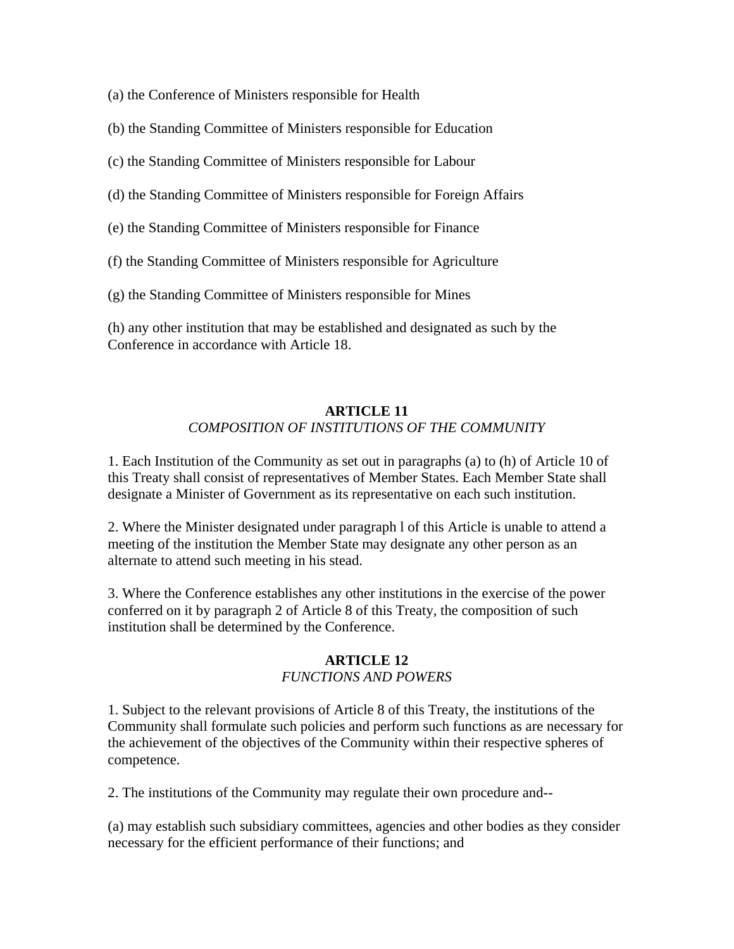(a) the Conference of Ministers responsible for Health

(b) the Standing Committee of Ministers responsible for Education

(c) the Standing Committee of Ministers responsible for Labour

(d) the Standing Committee of Ministers responsible for Foreign Affairs

(e) the Standing Committee of Ministers responsible for Finance

(f) the Standing Committee of Ministers responsible for Agriculture

(g) the Standing Committee of Ministers responsible for Mines

(h) any other institution that may be established and designated as such by the Conference in accordance with Article 18.

#### **ARTICLE 11**

#### *COMPOSITION OF INSTITUTIONS OF THE COMMUNITY*

1. Each Institution of the Community as set out in paragraphs (a) to (h) of Article 10 of this Treaty shall consist of representatives of Member States. Each Member State shall designate a Minister of Government as its representative on each such institution.

2. Where the Minister designated under paragraph l of this Article is unable to attend a meeting of the institution the Member State may designate any other person as an alternate to attend such meeting in his stead.

3. Where the Conference establishes any other institutions in the exercise of the power conferred on it by paragraph 2 of Article 8 of this Treaty, the composition of such institution shall be determined by the Conference.

#### **ARTICLE 12** *FUNCTIONS AND POWERS*

1. Subject to the relevant provisions of Article 8 of this Treaty, the institutions of the Community shall formulate such policies and perform such functions as are necessary for the achievement of the objectives of the Community within their respective spheres of competence.

2. The institutions of the Community may regulate their own procedure and--

(a) may establish such subsidiary committees, agencies and other bodies as they consider necessary for the efficient performance of their functions; and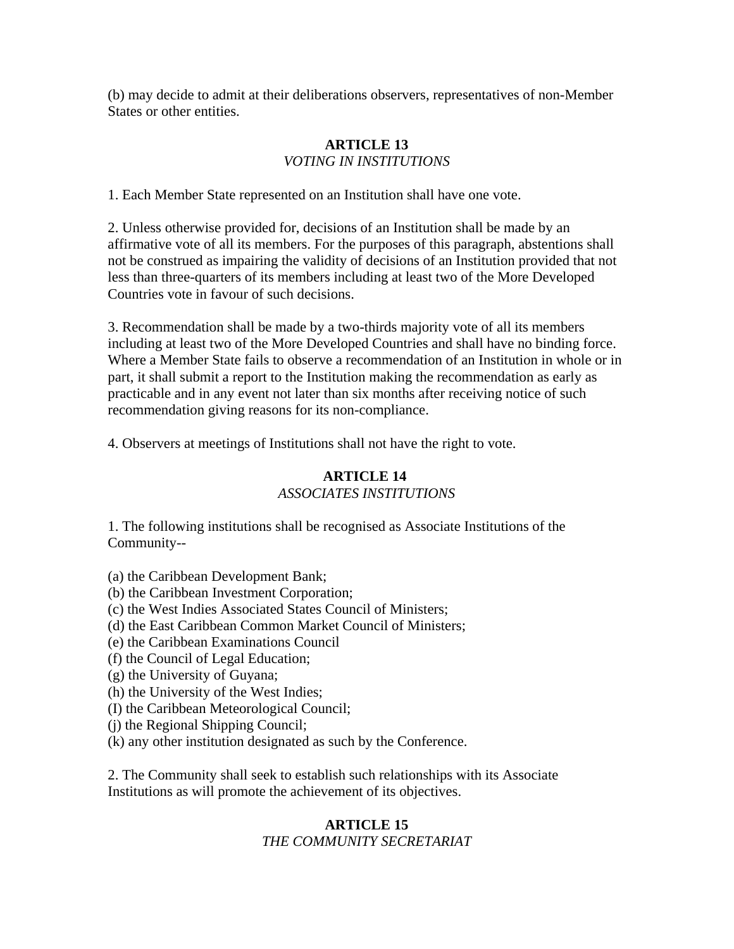(b) may decide to admit at their deliberations observers, representatives of non-Member States or other entities.

#### **ARTICLE 13** *VOTING IN INSTITUTIONS*

1. Each Member State represented on an Institution shall have one vote.

2. Unless otherwise provided for, decisions of an Institution shall be made by an affirmative vote of all its members. For the purposes of this paragraph, abstentions shall not be construed as impairing the validity of decisions of an Institution provided that not less than three-quarters of its members including at least two of the More Developed Countries vote in favour of such decisions.

3. Recommendation shall be made by a two-thirds majority vote of all its members including at least two of the More Developed Countries and shall have no binding force. Where a Member State fails to observe a recommendation of an Institution in whole or in part, it shall submit a report to the Institution making the recommendation as early as practicable and in any event not later than six months after receiving notice of such recommendation giving reasons for its non-compliance.

4. Observers at meetings of Institutions shall not have the right to vote.

# **ARTICLE 14**

# *ASSOCIATES INSTITUTIONS*

1. The following institutions shall be recognised as Associate Institutions of the Community--

(a) the Caribbean Development Bank;

(b) the Caribbean Investment Corporation;

(c) the West Indies Associated States Council of Ministers;

(d) the East Caribbean Common Market Council of Ministers;

(e) the Caribbean Examinations Council

(f) the Council of Legal Education;

(g) the University of Guyana;

(h) the University of the West Indies;

(I) the Caribbean Meteorological Council;

(j) the Regional Shipping Council;

(k) any other institution designated as such by the Conference.

2. The Community shall seek to establish such relationships with its Associate Institutions as will promote the achievement of its objectives.

# **ARTICLE 15** *THE COMMUNITY SECRETARIAT*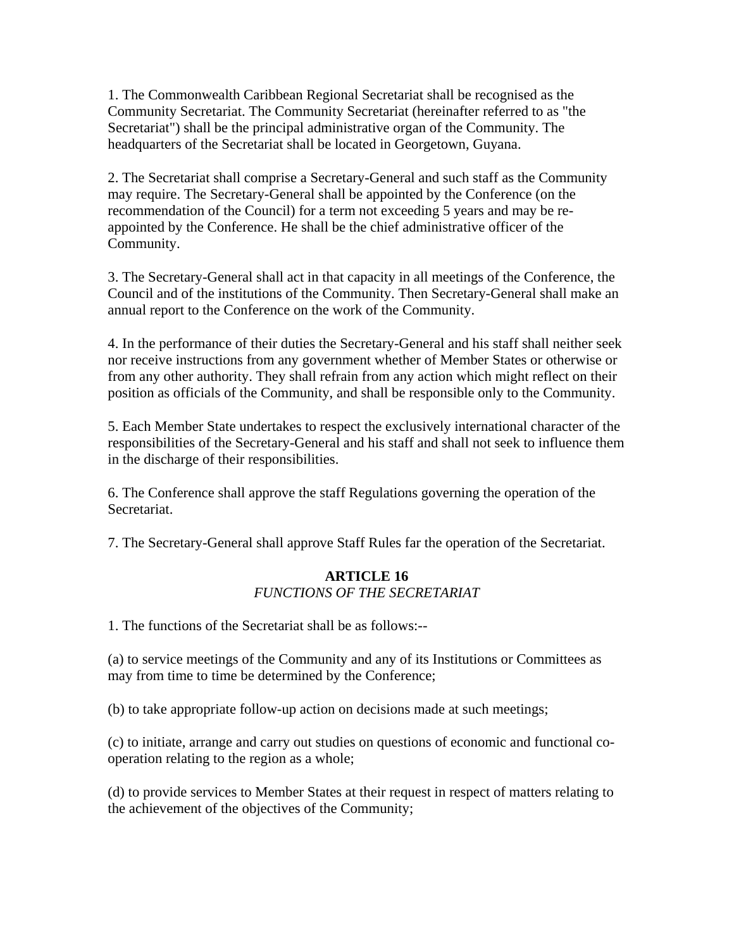1. The Commonwealth Caribbean Regional Secretariat shall be recognised as the Community Secretariat. The Community Secretariat (hereinafter referred to as "the Secretariat") shall be the principal administrative organ of the Community. The headquarters of the Secretariat shall be located in Georgetown, Guyana.

2. The Secretariat shall comprise a Secretary-General and such staff as the Community may require. The Secretary-General shall be appointed by the Conference (on the recommendation of the Council) for a term not exceeding 5 years and may be reappointed by the Conference. He shall be the chief administrative officer of the Community.

3. The Secretary-General shall act in that capacity in all meetings of the Conference, the Council and of the institutions of the Community. Then Secretary-General shall make an annual report to the Conference on the work of the Community.

4. In the performance of their duties the Secretary-General and his staff shall neither seek nor receive instructions from any government whether of Member States or otherwise or from any other authority. They shall refrain from any action which might reflect on their position as officials of the Community, and shall be responsible only to the Community.

5. Each Member State undertakes to respect the exclusively international character of the responsibilities of the Secretary-General and his staff and shall not seek to influence them in the discharge of their responsibilities.

6. The Conference shall approve the staff Regulations governing the operation of the Secretariat.

7. The Secretary-General shall approve Staff Rules far the operation of the Secretariat.

#### **ARTICLE 16** *FUNCTIONS OF THE SECRETARIAT*

1. The functions of the Secretariat shall be as follows:--

(a) to service meetings of the Community and any of its Institutions or Committees as may from time to time be determined by the Conference;

(b) to take appropriate follow-up action on decisions made at such meetings;

(c) to initiate, arrange and carry out studies on questions of economic and functional cooperation relating to the region as a whole;

(d) to provide services to Member States at their request in respect of matters relating to the achievement of the objectives of the Community;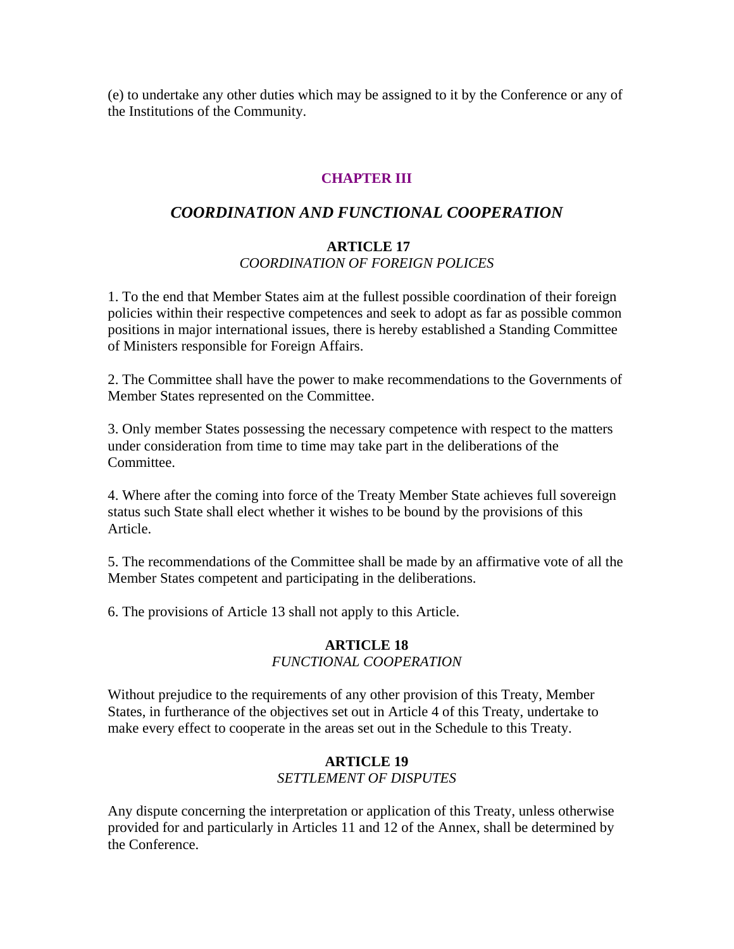(e) to undertake any other duties which may be assigned to it by the Conference or any of the Institutions of the Community.

#### **CHAPTER III**

# *COORDINATION AND FUNCTIONAL COOPERATION*

# **ARTICLE 17**

# *COORDINATION OF FOREIGN POLICES*

1. To the end that Member States aim at the fullest possible coordination of their foreign policies within their respective competences and seek to adopt as far as possible common positions in major international issues, there is hereby established a Standing Committee of Ministers responsible for Foreign Affairs.

2. The Committee shall have the power to make recommendations to the Governments of Member States represented on the Committee.

3. Only member States possessing the necessary competence with respect to the matters under consideration from time to time may take part in the deliberations of the Committee.

4. Where after the coming into force of the Treaty Member State achieves full sovereign status such State shall elect whether it wishes to be bound by the provisions of this Article.

5. The recommendations of the Committee shall be made by an affirmative vote of all the Member States competent and participating in the deliberations.

6. The provisions of Article 13 shall not apply to this Article.

# **ARTICLE 18**

#### *FUNCTIONAL COOPERATION*

Without prejudice to the requirements of any other provision of this Treaty, Member States, in furtherance of the objectives set out in Article 4 of this Treaty, undertake to make every effect to cooperate in the areas set out in the Schedule to this Treaty.

# **ARTICLE 19**

# *SETTLEMENT OF DISPUTES*

Any dispute concerning the interpretation or application of this Treaty, unless otherwise provided for and particularly in Articles 11 and 12 of the Annex, shall be determined by the Conference.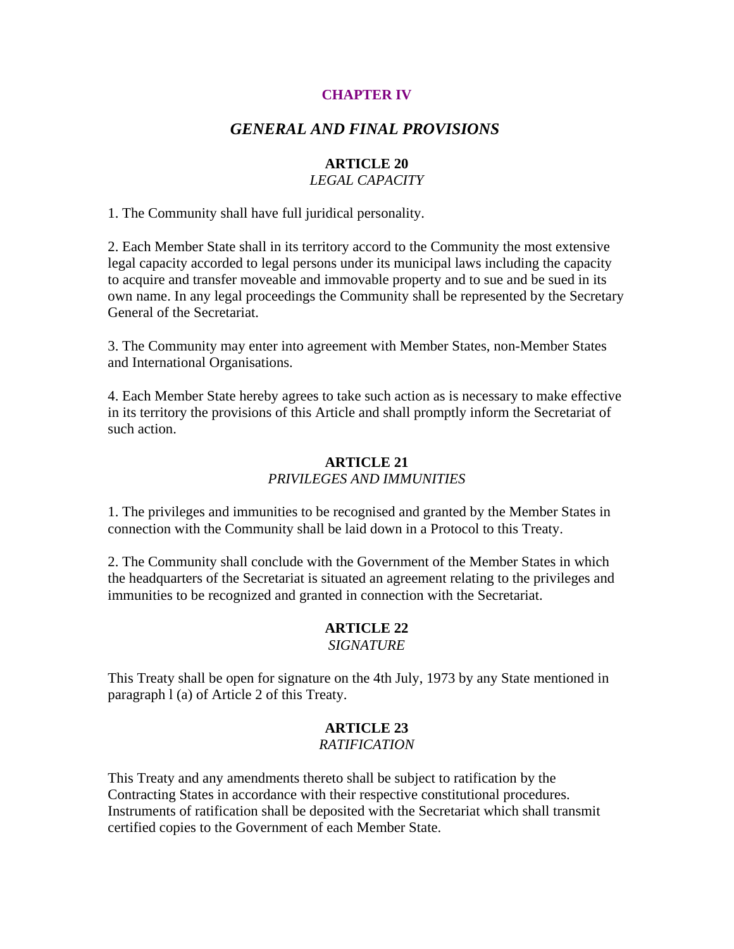#### **CHAPTER IV**

### *GENERAL AND FINAL PROVISIONS*

#### **ARTICLE 20**

*LEGAL CAPACITY*

1. The Community shall have full juridical personality.

2. Each Member State shall in its territory accord to the Community the most extensive legal capacity accorded to legal persons under its municipal laws including the capacity to acquire and transfer moveable and immovable property and to sue and be sued in its own name. In any legal proceedings the Community shall be represented by the Secretary General of the Secretariat.

3. The Community may enter into agreement with Member States, non-Member States and International Organisations.

4. Each Member State hereby agrees to take such action as is necessary to make effective in its territory the provisions of this Article and shall promptly inform the Secretariat of such action.

#### **ARTICLE 21** *PRIVILEGES AND IMMUNITIES*

1. The privileges and immunities to be recognised and granted by the Member States in connection with the Community shall be laid down in a Protocol to this Treaty.

2. The Community shall conclude with the Government of the Member States in which the headquarters of the Secretariat is situated an agreement relating to the privileges and immunities to be recognized and granted in connection with the Secretariat.

#### **ARTICLE 22** *SIGNATURE*

This Treaty shall be open for signature on the 4th July, 1973 by any State mentioned in paragraph l (a) of Article 2 of this Treaty.

#### **ARTICLE 23** *RATIFICATION*

This Treaty and any amendments thereto shall be subject to ratification by the Contracting States in accordance with their respective constitutional procedures. Instruments of ratification shall be deposited with the Secretariat which shall transmit certified copies to the Government of each Member State.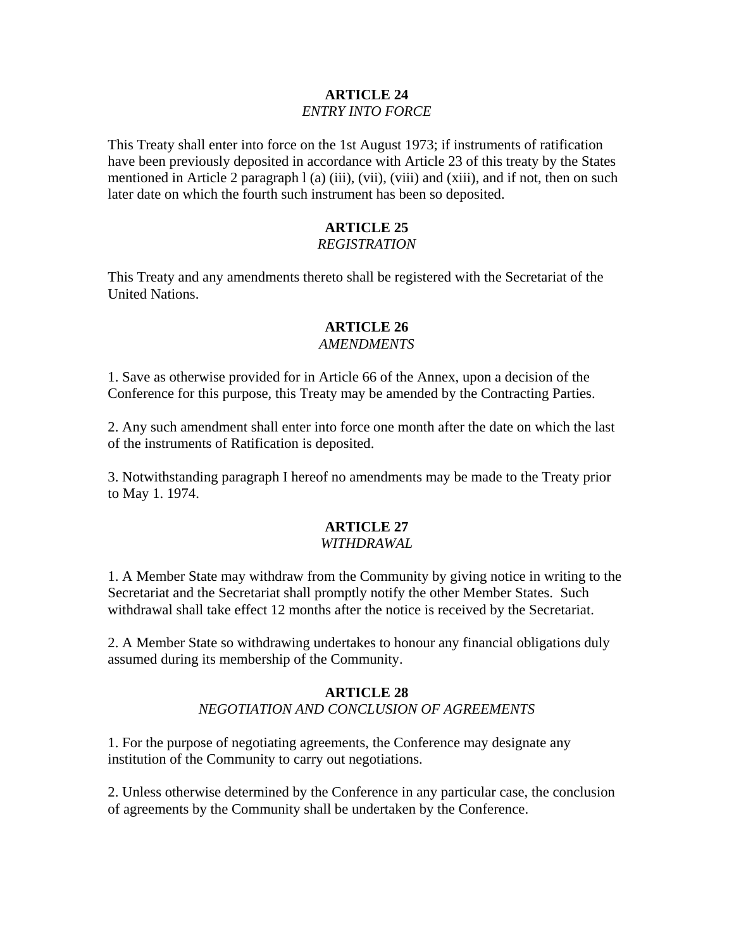### **ARTICLE 24** *ENTRY INTO FORCE*

This Treaty shall enter into force on the 1st August 1973; if instruments of ratification have been previously deposited in accordance with Article 23 of this treaty by the States mentioned in Article 2 paragraph 1 (a) (iii), (vii), (viii) and (xiii), and if not, then on such later date on which the fourth such instrument has been so deposited.

### **ARTICLE 25**

#### *REGISTRATION*

This Treaty and any amendments thereto shall be registered with the Secretariat of the United Nations.

#### **ARTICLE 26**

#### *AMENDMENTS*

1. Save as otherwise provided for in Article 66 of the Annex, upon a decision of the Conference for this purpose, this Treaty may be amended by the Contracting Parties.

2. Any such amendment shall enter into force one month after the date on which the last of the instruments of Ratification is deposited.

3. Notwithstanding paragraph I hereof no amendments may be made to the Treaty prior to May 1. 1974.

#### **ARTICLE 27**

#### *WITHDRAWAL*

1. A Member State may withdraw from the Community by giving notice in writing to the Secretariat and the Secretariat shall promptly notify the other Member States. Such withdrawal shall take effect 12 months after the notice is received by the Secretariat.

2. A Member State so withdrawing undertakes to honour any financial obligations duly assumed during its membership of the Community.

#### **ARTICLE 28**

#### *NEGOTIATION AND CONCLUSION OF AGREEMENTS*

1. For the purpose of negotiating agreements, the Conference may designate any institution of the Community to carry out negotiations.

2. Unless otherwise determined by the Conference in any particular case, the conclusion of agreements by the Community shall be undertaken by the Conference.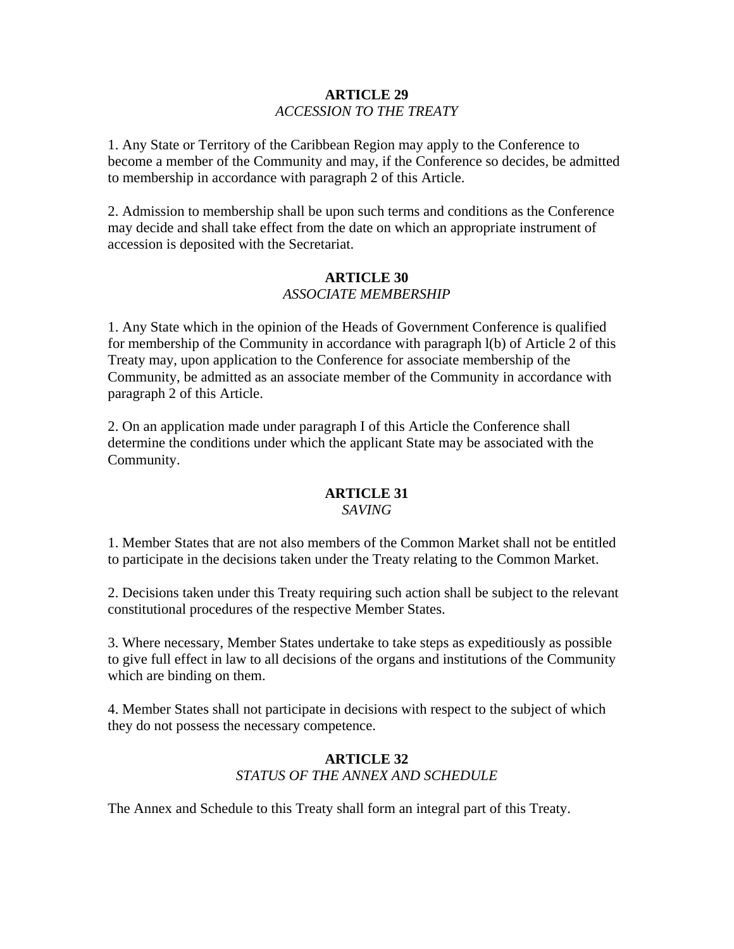#### **ARTICLE 29** *ACCESSION TO THE TREATY*

1. Any State or Territory of the Caribbean Region may apply to the Conference to become a member of the Community and may, if the Conference so decides, be admitted to membership in accordance with paragraph 2 of this Article.

2. Admission to membership shall be upon such terms and conditions as the Conference may decide and shall take effect from the date on which an appropriate instrument of accession is deposited with the Secretariat.

#### **ARTICLE 30** *ASSOCIATE MEMBERSHIP*

1. Any State which in the opinion of the Heads of Government Conference is qualified for membership of the Community in accordance with paragraph l(b) of Article 2 of this Treaty may, upon application to the Conference for associate membership of the Community, be admitted as an associate member of the Community in accordance with paragraph 2 of this Article.

2. On an application made under paragraph I of this Article the Conference shall determine the conditions under which the applicant State may be associated with the Community.

# **ARTICLE 31**

# *SAVING*

1. Member States that are not also members of the Common Market shall not be entitled to participate in the decisions taken under the Treaty relating to the Common Market.

2. Decisions taken under this Treaty requiring such action shall be subject to the relevant constitutional procedures of the respective Member States.

3. Where necessary, Member States undertake to take steps as expeditiously as possible to give full effect in law to all decisions of the organs and institutions of the Community which are binding on them.

4. Member States shall not participate in decisions with respect to the subject of which they do not possess the necessary competence.

# **ARTICLE 32** *STATUS OF THE ANNEX AND SCHEDULE*

The Annex and Schedule to this Treaty shall form an integral part of this Treaty.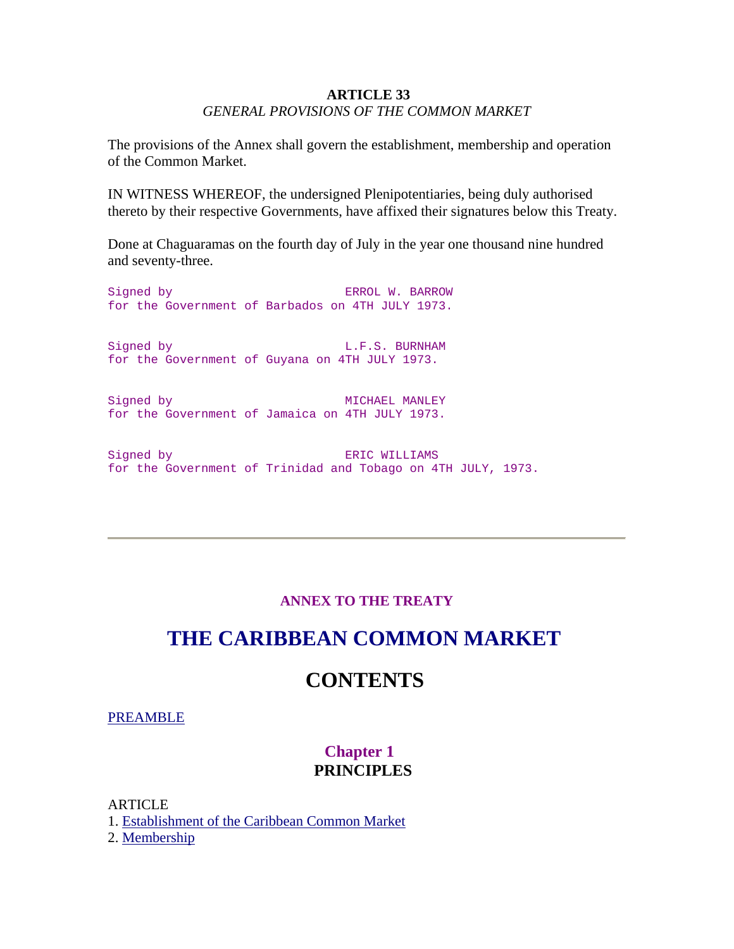#### **ARTICLE 33**  *GENERAL PROVISIONS OF THE COMMON MARKET*

The provisions of the Annex shall govern the establishment, membership and operation of the Common Market.

IN WITNESS WHEREOF, the undersigned Plenipotentiaries, being duly authorised thereto by their respective Governments, have affixed their signatures below this Treaty.

Done at Chaguaramas on the fourth day of July in the year one thousand nine hundred and seventy-three.

Signed by ERROL W. BARROW for the Government of Barbados on 4TH JULY 1973. Signed by  $L.F.S.$  BURNHAM for the Government of Guyana on 4TH JULY 1973.

Signed by MICHAEL MANLEY for the Government of Jamaica on 4TH JULY 1973.

Signed by **ERIC WILLIAMS** for the Government of Trinidad and Tobago on 4TH JULY, 1973.

# **ANNEX TO THE TREATY**

# **THE CARIBBEAN COMMON MARKET**

# **CONTENTS**

PREAMBLE

# **Chapter 1 PRINCIPLES**

ARTICLE 1. Establishment of the Caribbean Common Market 2. Membership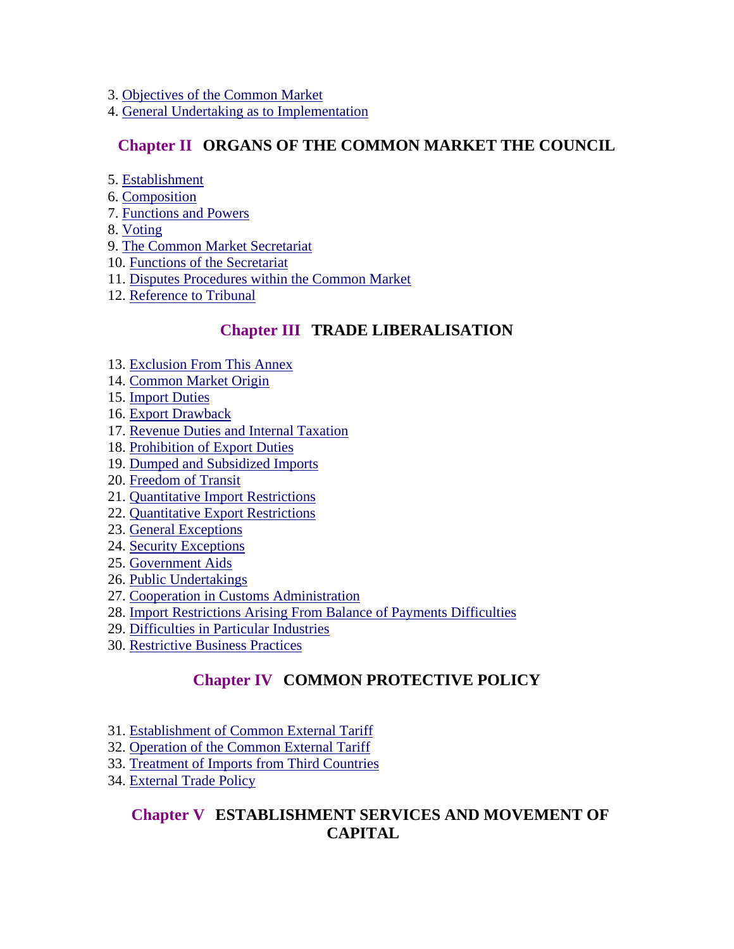- 3. Objectives of the Common Market
- 4. General Undertaking as to Implementation

# **Chapter II ORGANS OF THE COMMON MARKET THE COUNCIL**

- 5. Establishment
- 6. Composition
- 7. Functions and Powers
- 8. Voting
- 9. The Common Market Secretariat
- 10. Functions of the Secretariat
- 11. Disputes Procedures within the Common Market
- 12. Reference to Tribunal

# **Chapter III TRADE LIBERALISATION**

- 13. Exclusion From This Annex
- 14. Common Market Origin
- 15. Import Duties
- 16. Export Drawback
- 17. Revenue Duties and Internal Taxation
- 18. Prohibition of Export Duties
- 19. Dumped and Subsidized Imports
- 20. Freedom of Transit
- 21. Quantitative Import Restrictions
- 22. Quantitative Export Restrictions
- 23. General Exceptions
- 24. Security Exceptions
- 25. Government Aids
- 26. Public Undertakings
- 27. Cooperation in Customs Administration
- 28. Import Restrictions Arising From Balance of Payments Difficulties
- 29. Difficulties in Particular Industries
- 30. Restrictive Business Practices

# **Chapter IV COMMON PROTECTIVE POLICY**

- 31. Establishment of Common External Tariff
- 32. Operation of the Common External Tariff
- 33. Treatment of Imports from Third Countries
- 34. External Trade Policy

# **Chapter V ESTABLISHMENT SERVICES AND MOVEMENT OF CAPITAL**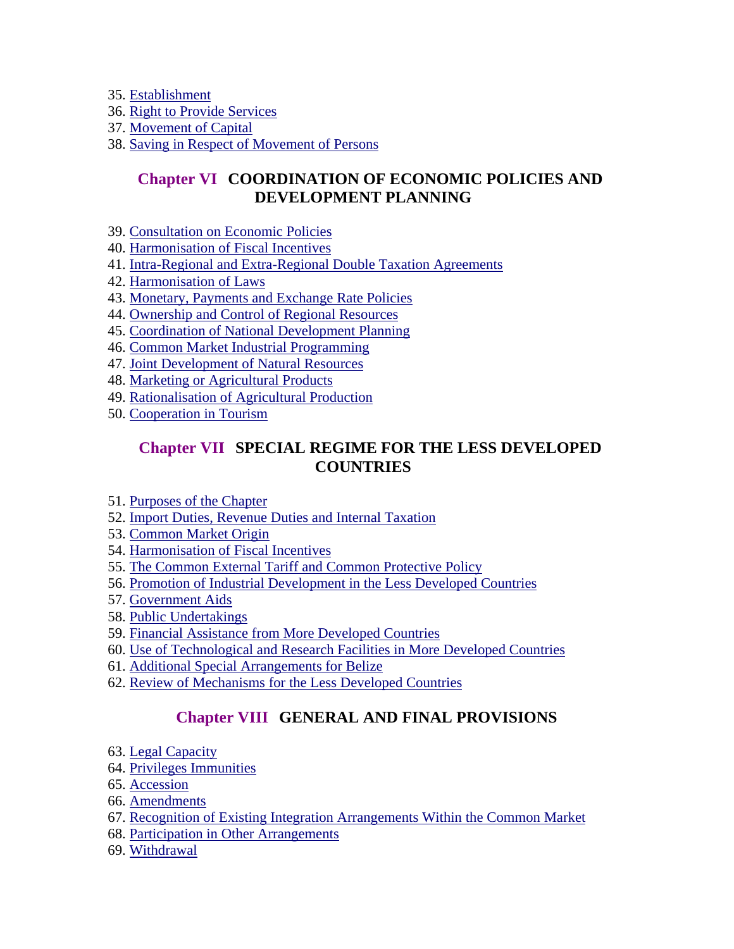- 35. Establishment
- 36. Right to Provide Services
- 37. Movement of Capital
- 38. Saving in Respect of Movement of Persons

# **Chapter VI COORDINATION OF ECONOMIC POLICIES AND DEVELOPMENT PLANNING**

- 39. Consultation on Economic Policies
- 40. Harmonisation of Fiscal Incentives
- 41. Intra-Regional and Extra-Regional Double Taxation Agreements
- 42. Harmonisation of Laws
- 43. Monetary, Payments and Exchange Rate Policies
- 44. Ownership and Control of Regional Resources
- 45. Coordination of National Development Planning
- 46. Common Market Industrial Programming
- 47. Joint Development of Natural Resources
- 48. Marketing or Agricultural Products
- 49. Rationalisation of Agricultural Production
- 50. Cooperation in Tourism

# **Chapter VII SPECIAL REGIME FOR THE LESS DEVELOPED COUNTRIES**

- 51. Purposes of the Chapter
- 52. Import Duties, Revenue Duties and Internal Taxation
- 53. Common Market Origin
- 54. Harmonisation of Fiscal Incentives
- 55. The Common External Tariff and Common Protective Policy
- 56. Promotion of Industrial Development in the Less Developed Countries
- 57. Government Aids
- 58. Public Undertakings
- 59. Financial Assistance from More Developed Countries
- 60. Use of Technological and Research Facilities in More Developed Countries
- 61. Additional Special Arrangements for Belize
- 62. Review of Mechanisms for the Less Developed Countries

# **Chapter VIII GENERAL AND FINAL PROVISIONS**

- 63. Legal Capacity
- 64. Privileges Immunities
- 65. Accession
- 66. Amendments
- 67. Recognition of Existing Integration Arrangements Within the Common Market
- 68. Participation in Other Arrangements
- 69. Withdrawal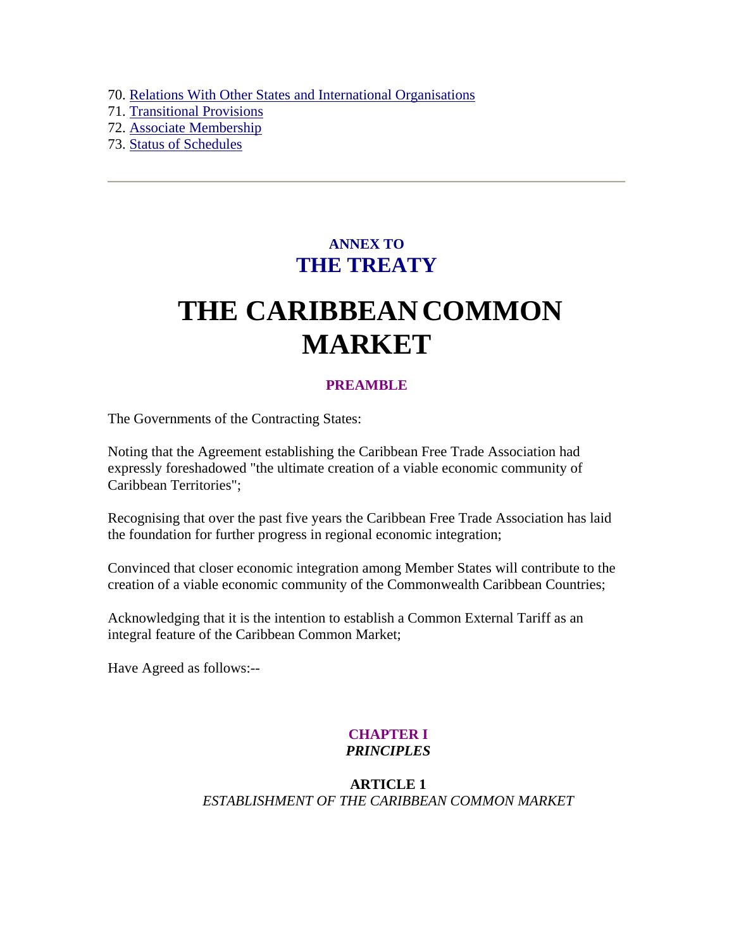- 70. Relations With Other States and International Organisations
- 71. Transitional Provisions
- 72. Associate Membership
- 73. Status of Schedules

# **ANNEX TO THE TREATY**

# **THE CARIBBEANCOMMON MARKET**

# **PREAMBLE**

The Governments of the Contracting States:

Noting that the Agreement establishing the Caribbean Free Trade Association had expressly foreshadowed "the ultimate creation of a viable economic community of Caribbean Territories";

Recognising that over the past five years the Caribbean Free Trade Association has laid the foundation for further progress in regional economic integration;

Convinced that closer economic integration among Member States will contribute to the creation of a viable economic community of the Commonwealth Caribbean Countries;

Acknowledging that it is the intention to establish a Common External Tariff as an integral feature of the Caribbean Common Market;

Have Agreed as follows:--

#### **CHAPTER I** *PRINCIPLES*

# **ARTICLE 1** *ESTABLISHMENT OF THE CARIBBEAN COMMON MARKET*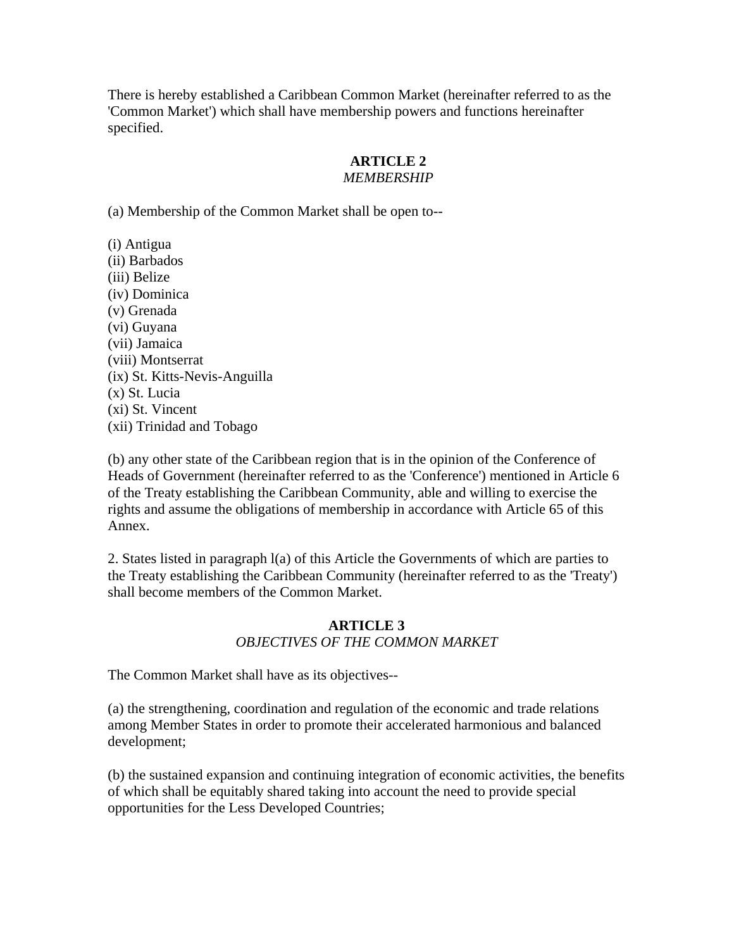There is hereby established a Caribbean Common Market (hereinafter referred to as the 'Common Market') which shall have membership powers and functions hereinafter specified.

# **ARTICLE 2**

#### *MEMBERSHIP*

(a) Membership of the Common Market shall be open to--

(i) Antigua (ii) Barbados (iii) Belize (iv) Dominica (v) Grenada (vi) Guyana (vii) Jamaica (viii) Montserrat (ix) St. Kitts-Nevis-Anguilla (x) St. Lucia (xi) St. Vincent (xii) Trinidad and Tobago

(b) any other state of the Caribbean region that is in the opinion of the Conference of Heads of Government (hereinafter referred to as the 'Conference') mentioned in Article 6 of the Treaty establishing the Caribbean Community, able and willing to exercise the rights and assume the obligations of membership in accordance with Article 65 of this Annex.

2. States listed in paragraph l(a) of this Article the Governments of which are parties to the Treaty establishing the Caribbean Community (hereinafter referred to as the 'Treaty') shall become members of the Common Market.

# **ARTICLE 3** *OBJECTIVES OF THE COMMON MARKET*

The Common Market shall have as its objectives--

(a) the strengthening, coordination and regulation of the economic and trade relations among Member States in order to promote their accelerated harmonious and balanced development;

(b) the sustained expansion and continuing integration of economic activities, the benefits of which shall be equitably shared taking into account the need to provide special opportunities for the Less Developed Countries;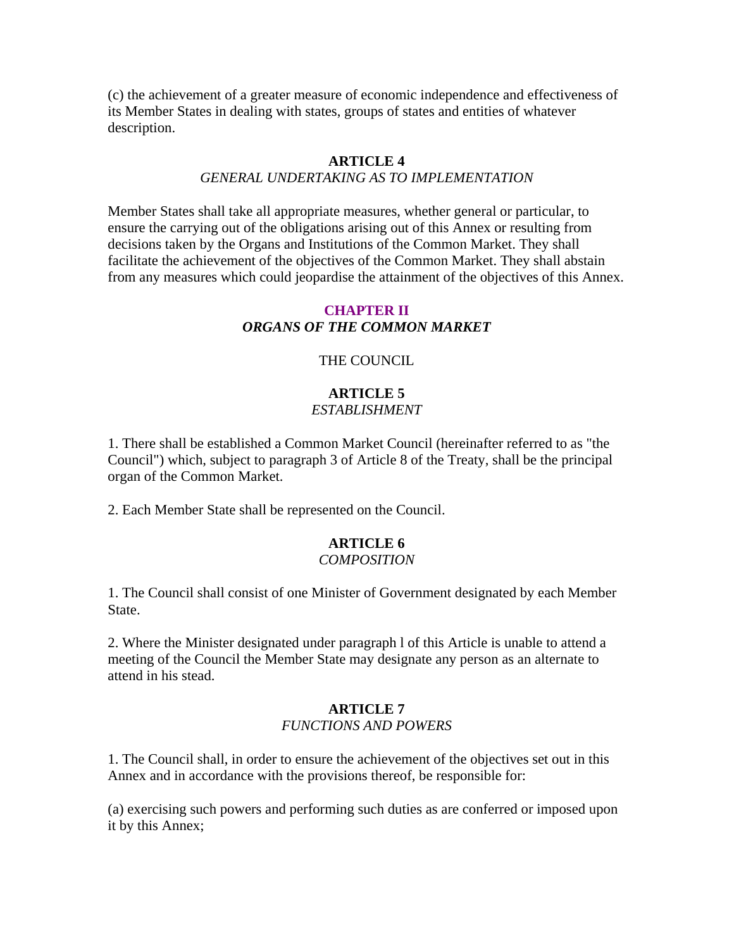(c) the achievement of a greater measure of economic independence and effectiveness of its Member States in dealing with states, groups of states and entities of whatever description.

#### **ARTICLE 4**

#### *GENERAL UNDERTAKING AS TO IMPLEMENTATION*

Member States shall take all appropriate measures, whether general or particular, to ensure the carrying out of the obligations arising out of this Annex or resulting from decisions taken by the Organs and Institutions of the Common Market. They shall facilitate the achievement of the objectives of the Common Market. They shall abstain from any measures which could jeopardise the attainment of the objectives of this Annex.

#### **CHAPTER II** *ORGANS OF THE COMMON MARKET*

#### THE COUNCIL

#### **ARTICLE 5** *ESTABLISHMENT*

1. There shall be established a Common Market Council (hereinafter referred to as "the Council") which, subject to paragraph 3 of Article 8 of the Treaty, shall be the principal organ of the Common Market.

2. Each Member State shall be represented on the Council.

# **ARTICLE 6**

#### *COMPOSITION*

1. The Council shall consist of one Minister of Government designated by each Member State.

2. Where the Minister designated under paragraph l of this Article is unable to attend a meeting of the Council the Member State may designate any person as an alternate to attend in his stead.

#### **ARTICLE 7** *FUNCTIONS AND POWERS*

1. The Council shall, in order to ensure the achievement of the objectives set out in this Annex and in accordance with the provisions thereof, be responsible for:

(a) exercising such powers and performing such duties as are conferred or imposed upon it by this Annex;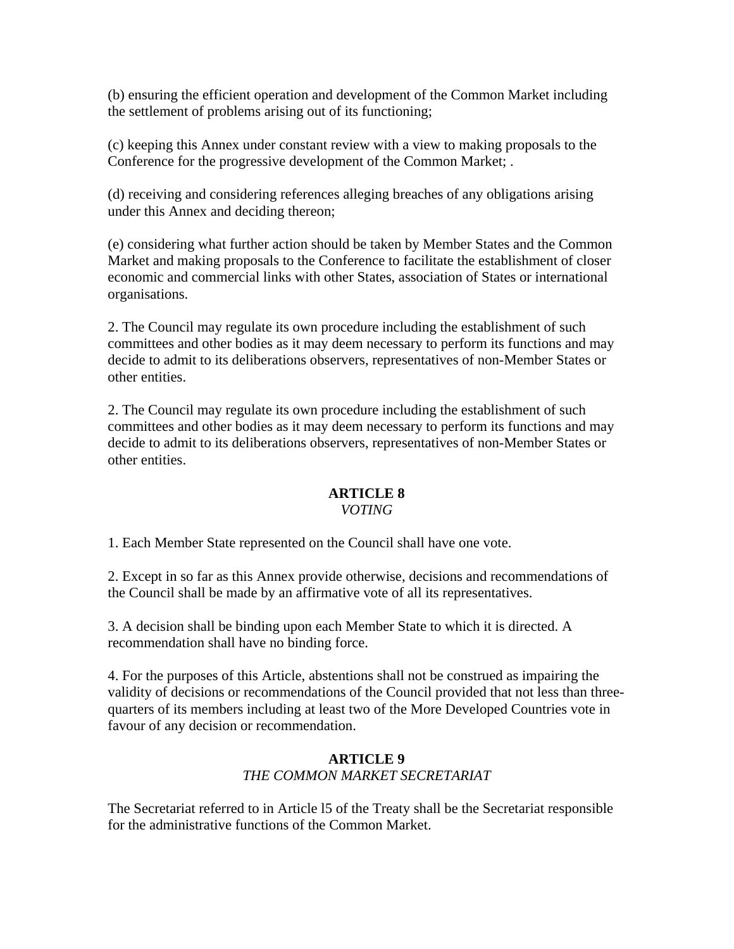(b) ensuring the efficient operation and development of the Common Market including the settlement of problems arising out of its functioning;

(c) keeping this Annex under constant review with a view to making proposals to the Conference for the progressive development of the Common Market; .

(d) receiving and considering references alleging breaches of any obligations arising under this Annex and deciding thereon;

(e) considering what further action should be taken by Member States and the Common Market and making proposals to the Conference to facilitate the establishment of closer economic and commercial links with other States, association of States or international organisations.

2. The Council may regulate its own procedure including the establishment of such committees and other bodies as it may deem necessary to perform its functions and may decide to admit to its deliberations observers, representatives of non-Member States or other entities.

2. The Council may regulate its own procedure including the establishment of such committees and other bodies as it may deem necessary to perform its functions and may decide to admit to its deliberations observers, representatives of non-Member States or other entities.

# **ARTICLE 8**

# *VOTING*

1. Each Member State represented on the Council shall have one vote.

2. Except in so far as this Annex provide otherwise, decisions and recommendations of the Council shall be made by an affirmative vote of all its representatives.

3. A decision shall be binding upon each Member State to which it is directed. A recommendation shall have no binding force.

4. For the purposes of this Article, abstentions shall not be construed as impairing the validity of decisions or recommendations of the Council provided that not less than threequarters of its members including at least two of the More Developed Countries vote in favour of any decision or recommendation.

# **ARTICLE 9** *THE COMMON MARKET SECRETARIAT*

The Secretariat referred to in Article l5 of the Treaty shall be the Secretariat responsible for the administrative functions of the Common Market.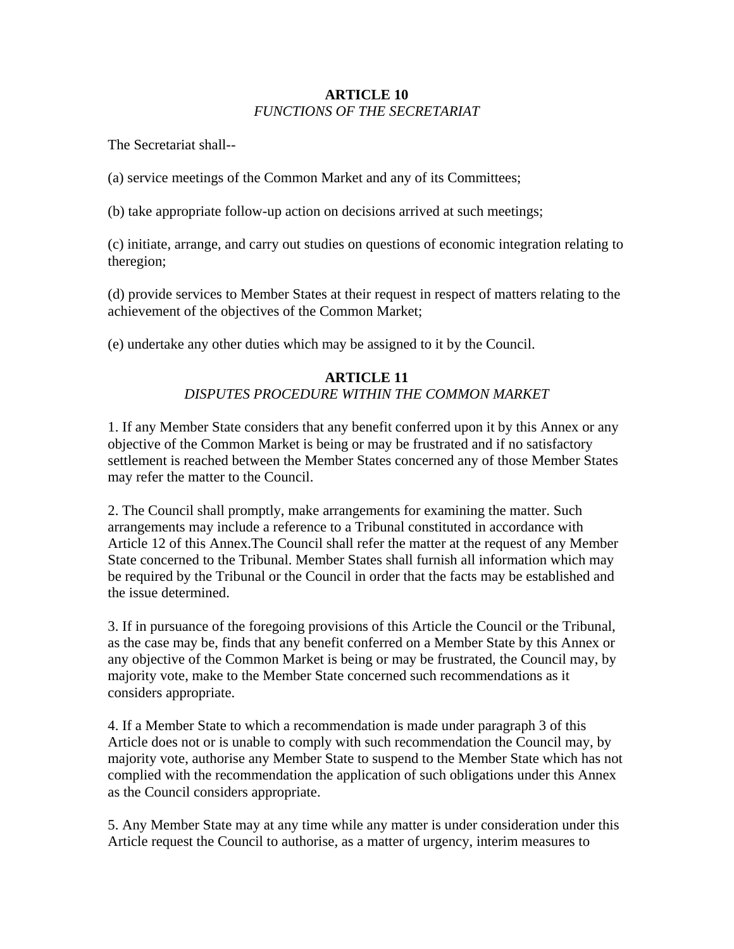### **ARTICLE 10** *FUNCTIONS OF THE SECRETARIAT*

The Secretariat shall--

(a) service meetings of the Common Market and any of its Committees;

(b) take appropriate follow-up action on decisions arrived at such meetings;

(c) initiate, arrange, and carry out studies on questions of economic integration relating to theregion;

(d) provide services to Member States at their request in respect of matters relating to the achievement of the objectives of the Common Market;

(e) undertake any other duties which may be assigned to it by the Council.

#### **ARTICLE 11** *DISPUTES PROCEDURE WITHIN THE COMMON MARKET*

1. If any Member State considers that any benefit conferred upon it by this Annex or any objective of the Common Market is being or may be frustrated and if no satisfactory settlement is reached between the Member States concerned any of those Member States may refer the matter to the Council.

2. The Council shall promptly, make arrangements for examining the matter. Such arrangements may include a reference to a Tribunal constituted in accordance with Article 12 of this Annex.The Council shall refer the matter at the request of any Member State concerned to the Tribunal. Member States shall furnish all information which may be required by the Tribunal or the Council in order that the facts may be established and the issue determined.

3. If in pursuance of the foregoing provisions of this Article the Council or the Tribunal, as the case may be, finds that any benefit conferred on a Member State by this Annex or any objective of the Common Market is being or may be frustrated, the Council may, by majority vote, make to the Member State concerned such recommendations as it considers appropriate.

4. If a Member State to which a recommendation is made under paragraph 3 of this Article does not or is unable to comply with such recommendation the Council may, by majority vote, authorise any Member State to suspend to the Member State which has not complied with the recommendation the application of such obligations under this Annex as the Council considers appropriate.

5. Any Member State may at any time while any matter is under consideration under this Article request the Council to authorise, as a matter of urgency, interim measures to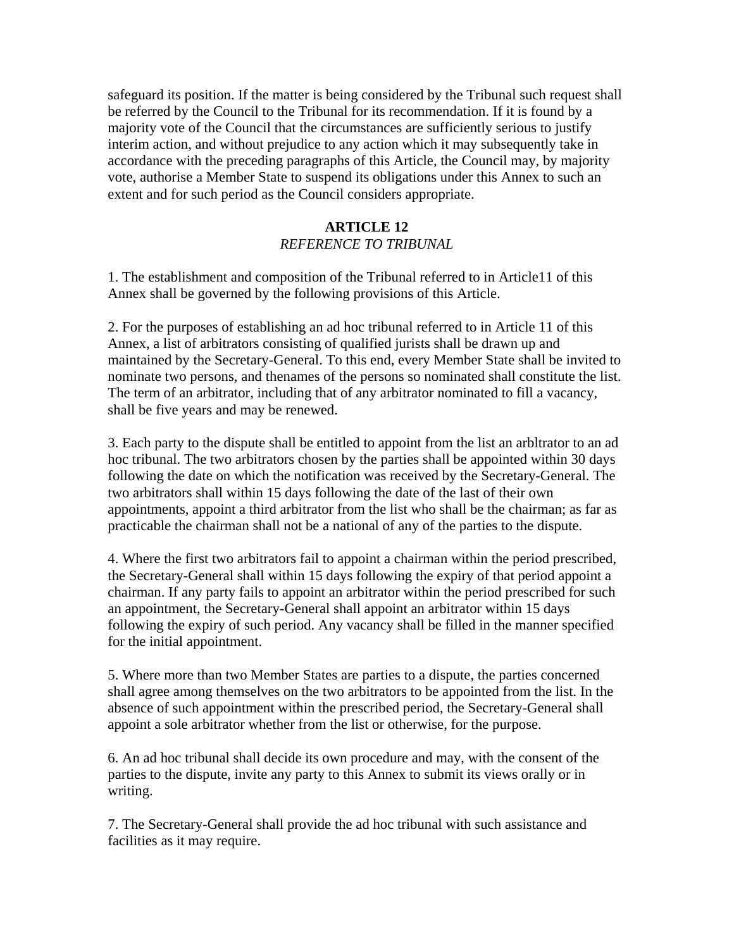safeguard its position. If the matter is being considered by the Tribunal such request shall be referred by the Council to the Tribunal for its recommendation. If it is found by a majority vote of the Council that the circumstances are sufficiently serious to justify interim action, and without prejudice to any action which it may subsequently take in accordance with the preceding paragraphs of this Article, the Council may, by majority vote, authorise a Member State to suspend its obligations under this Annex to such an extent and for such period as the Council considers appropriate.

# **ARTICLE 12** *REFERENCE TO TRIBUNAL*

1. The establishment and composition of the Tribunal referred to in Article11 of this Annex shall be governed by the following provisions of this Article.

2. For the purposes of establishing an ad hoc tribunal referred to in Article 11 of this Annex, a list of arbitrators consisting of qualified jurists shall be drawn up and maintained by the Secretary-General. To this end, every Member State shall be invited to nominate two persons, and thenames of the persons so nominated shall constitute the list. The term of an arbitrator, including that of any arbitrator nominated to fill a vacancy, shall be five years and may be renewed.

3. Each party to the dispute shall be entitled to appoint from the list an arbltrator to an ad hoc tribunal. The two arbitrators chosen by the parties shall be appointed within 30 days following the date on which the notification was received by the Secretary-General. The two arbitrators shall within 15 days following the date of the last of their own appointments, appoint a third arbitrator from the list who shall be the chairman; as far as practicable the chairman shall not be a national of any of the parties to the dispute.

4. Where the first two arbitrators fail to appoint a chairman within the period prescribed, the Secretary-General shall within 15 days following the expiry of that period appoint a chairman. If any party fails to appoint an arbitrator within the period prescribed for such an appointment, the Secretary-General shall appoint an arbitrator within 15 days following the expiry of such period. Any vacancy shall be filled in the manner specified for the initial appointment.

5. Where more than two Member States are parties to a dispute, the parties concerned shall agree among themselves on the two arbitrators to be appointed from the list. In the absence of such appointment within the prescribed period, the Secretary-General shall appoint a sole arbitrator whether from the list or otherwise, for the purpose.

6. An ad hoc tribunal shall decide its own procedure and may, with the consent of the parties to the dispute, invite any party to this Annex to submit its views orally or in writing.

7. The Secretary-General shall provide the ad hoc tribunal with such assistance and facilities as it may require.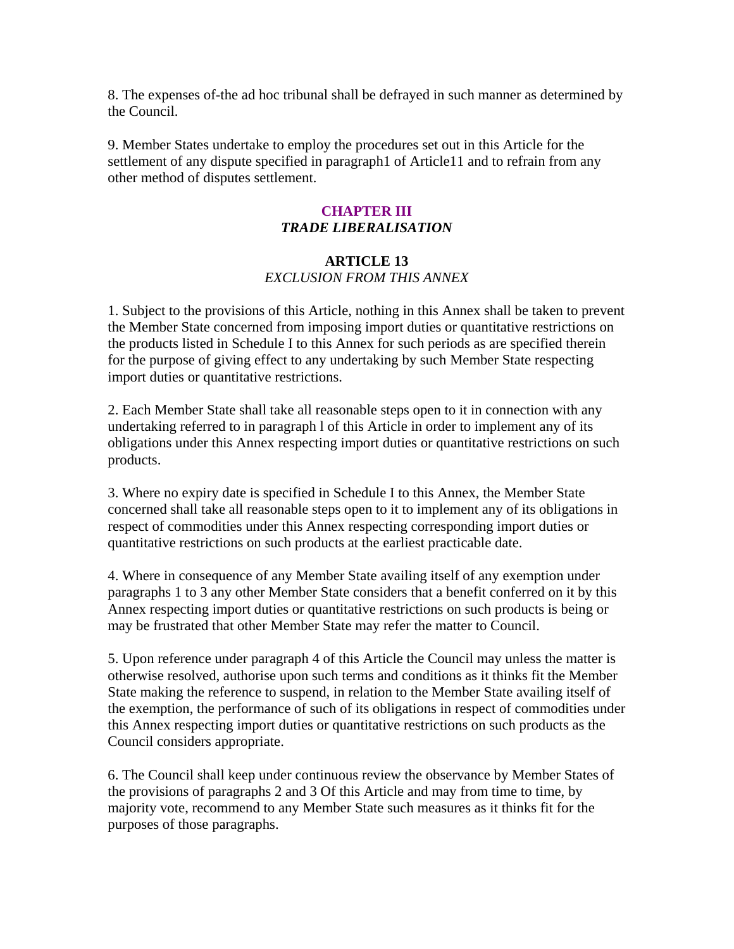8. The expenses of-the ad hoc tribunal shall be defrayed in such manner as determined by the Council.

9. Member States undertake to employ the procedures set out in this Article for the settlement of any dispute specified in paragraph1 of Article11 and to refrain from any other method of disputes settlement.

# **CHAPTER III** *TRADE LIBERALISATION*

#### **ARTICLE 13** *EXCLUSION FROM THIS ANNEX*

1. Subject to the provisions of this Article, nothing in this Annex shall be taken to prevent the Member State concerned from imposing import duties or quantitative restrictions on the products listed in Schedule I to this Annex for such periods as are specified therein for the purpose of giving effect to any undertaking by such Member State respecting import duties or quantitative restrictions.

2. Each Member State shall take all reasonable steps open to it in connection with any undertaking referred to in paragraph l of this Article in order to implement any of its obligations under this Annex respecting import duties or quantitative restrictions on such products.

3. Where no expiry date is specified in Schedule I to this Annex, the Member State concerned shall take all reasonable steps open to it to implement any of its obligations in respect of commodities under this Annex respecting corresponding import duties or quantitative restrictions on such products at the earliest practicable date.

4. Where in consequence of any Member State availing itself of any exemption under paragraphs 1 to 3 any other Member State considers that a benefit conferred on it by this Annex respecting import duties or quantitative restrictions on such products is being or may be frustrated that other Member State may refer the matter to Council.

5. Upon reference under paragraph 4 of this Article the Council may unless the matter is otherwise resolved, authorise upon such terms and conditions as it thinks fit the Member State making the reference to suspend, in relation to the Member State availing itself of the exemption, the performance of such of its obligations in respect of commodities under this Annex respecting import duties or quantitative restrictions on such products as the Council considers appropriate.

6. The Council shall keep under continuous review the observance by Member States of the provisions of paragraphs 2 and 3 Of this Article and may from time to time, by majority vote, recommend to any Member State such measures as it thinks fit for the purposes of those paragraphs.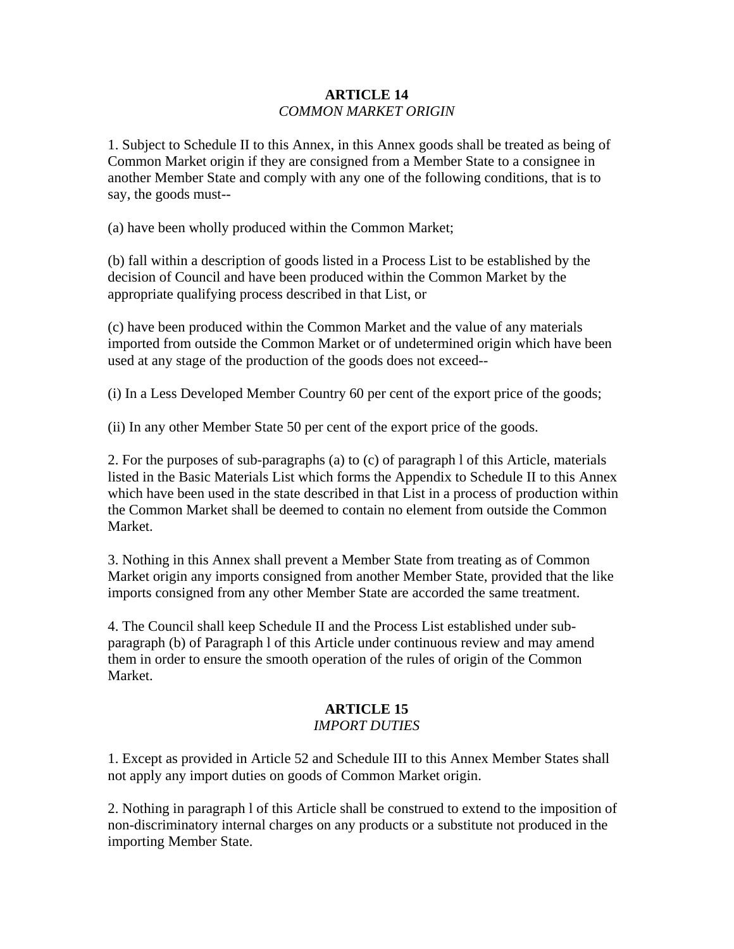### **ARTICLE 14** *COMMON MARKET ORIGIN*

1. Subject to Schedule II to this Annex, in this Annex goods shall be treated as being of Common Market origin if they are consigned from a Member State to a consignee in another Member State and comply with any one of the following conditions, that is to say, the goods must--

(a) have been wholly produced within the Common Market;

(b) fall within a description of goods listed in a Process List to be established by the decision of Council and have been produced within the Common Market by the appropriate qualifying process described in that List, or

(c) have been produced within the Common Market and the value of any materials imported from outside the Common Market or of undetermined origin which have been used at any stage of the production of the goods does not exceed--

(i) In a Less Developed Member Country 60 per cent of the export price of the goods;

(ii) In any other Member State 50 per cent of the export price of the goods.

2. For the purposes of sub-paragraphs (a) to (c) of paragraph l of this Article, materials listed in the Basic Materials List which forms the Appendix to Schedule II to this Annex which have been used in the state described in that List in a process of production within the Common Market shall be deemed to contain no element from outside the Common Market.

3. Nothing in this Annex shall prevent a Member State from treating as of Common Market origin any imports consigned from another Member State, provided that the like imports consigned from any other Member State are accorded the same treatment.

4. The Council shall keep Schedule II and the Process List established under subparagraph (b) of Paragraph l of this Article under continuous review and may amend them in order to ensure the smooth operation of the rules of origin of the Common Market.

# **ARTICLE 15**

# *IMPORT DUTIES*

1. Except as provided in Article 52 and Schedule III to this Annex Member States shall not apply any import duties on goods of Common Market origin.

2. Nothing in paragraph l of this Article shall be construed to extend to the imposition of non-discriminatory internal charges on any products or a substitute not produced in the importing Member State.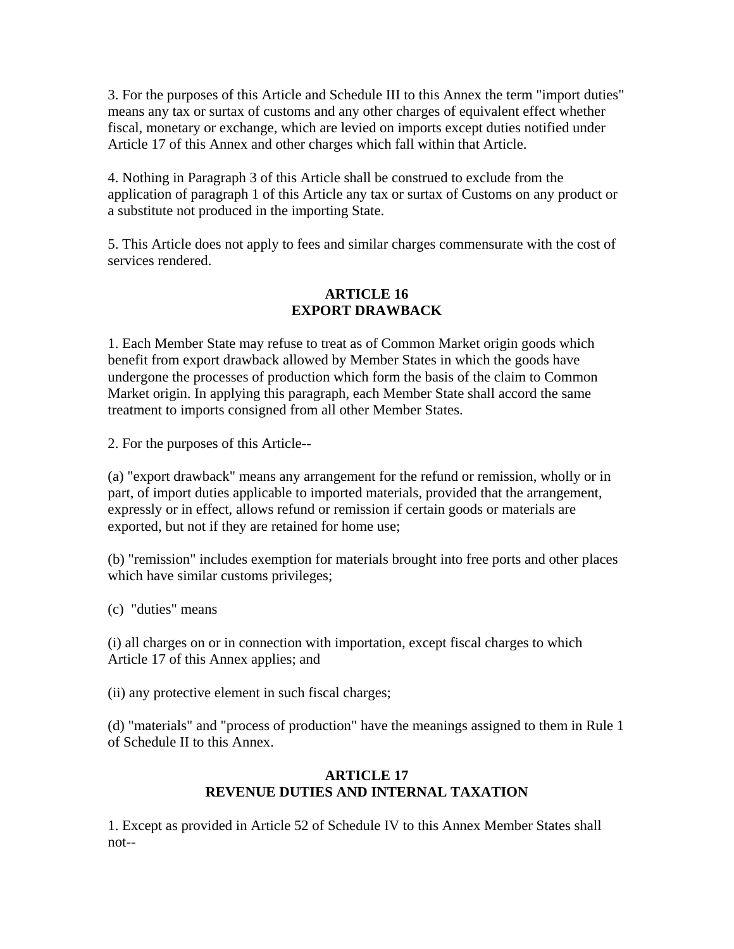3. For the purposes of this Article and Schedule III to this Annex the term "import duties" means any tax or surtax of customs and any other charges of equivalent effect whether fiscal, monetary or exchange, which are levied on imports except duties notified under Article 17 of this Annex and other charges which fall within that Article.

4. Nothing in Paragraph 3 of this Article shall be construed to exclude from the application of paragraph 1 of this Article any tax or surtax of Customs on any product or a substitute not produced in the importing State.

5. This Article does not apply to fees and similar charges commensurate with the cost of services rendered.

# **ARTICLE 16 EXPORT DRAWBACK**

1. Each Member State may refuse to treat as of Common Market origin goods which benefit from export drawback allowed by Member States in which the goods have undergone the processes of production which form the basis of the claim to Common Market origin. In applying this paragraph, each Member State shall accord the same treatment to imports consigned from all other Member States.

2. For the purposes of this Article--

(a) "export drawback" means any arrangement for the refund or remission, wholly or in part, of import duties applicable to imported materials, provided that the arrangement, expressly or in effect, allows refund or remission if certain goods or materials are exported, but not if they are retained for home use;

(b) "remission" includes exemption for materials brought into free ports and other places which have similar customs privileges;

(c) "duties" means

(i) all charges on or in connection with importation, except fiscal charges to which Article 17 of this Annex applies; and

(ii) any protective element in such fiscal charges;

(d) "materials" and "process of production" have the meanings assigned to them in Rule 1 of Schedule II to this Annex.

# **ARTICLE 17 REVENUE DUTIES AND INTERNAL TAXATION**

1. Except as provided in Article 52 of Schedule IV to this Annex Member States shall not--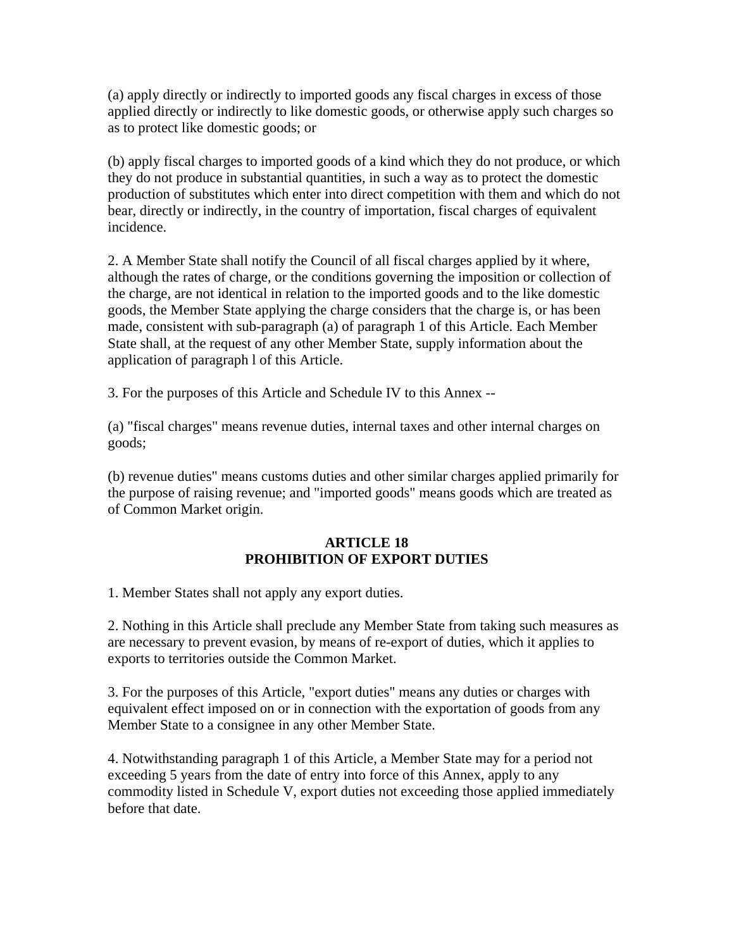(a) apply directly or indirectly to imported goods any fiscal charges in excess of those applied directly or indirectly to like domestic goods, or otherwise apply such charges so as to protect like domestic goods; or

(b) apply fiscal charges to imported goods of a kind which they do not produce, or which they do not produce in substantial quantities, in such a way as to protect the domestic production of substitutes which enter into direct competition with them and which do not bear, directly or indirectly, in the country of importation, fiscal charges of equivalent incidence.

2. A Member State shall notify the Council of all fiscal charges applied by it where, although the rates of charge, or the conditions governing the imposition or collection of the charge, are not identical in relation to the imported goods and to the like domestic goods, the Member State applying the charge considers that the charge is, or has been made, consistent with sub-paragraph (a) of paragraph 1 of this Article. Each Member State shall, at the request of any other Member State, supply information about the application of paragraph l of this Article.

3. For the purposes of this Article and Schedule IV to this Annex --

(a) "fiscal charges" means revenue duties, internal taxes and other internal charges on goods;

(b) revenue duties" means customs duties and other similar charges applied primarily for the purpose of raising revenue; and "imported goods" means goods which are treated as of Common Market origin.

#### **ARTICLE 18 PROHIBITION OF EXPORT DUTIES**

1. Member States shall not apply any export duties.

2. Nothing in this Article shall preclude any Member State from taking such measures as are necessary to prevent evasion, by means of re-export of duties, which it applies to exports to territories outside the Common Market.

3. For the purposes of this Article, "export duties" means any duties or charges with equivalent effect imposed on or in connection with the exportation of goods from any Member State to a consignee in any other Member State.

4. Notwithstanding paragraph 1 of this Article, a Member State may for a period not exceeding 5 years from the date of entry into force of this Annex, apply to any commodity listed in Schedule V, export duties not exceeding those applied immediately before that date.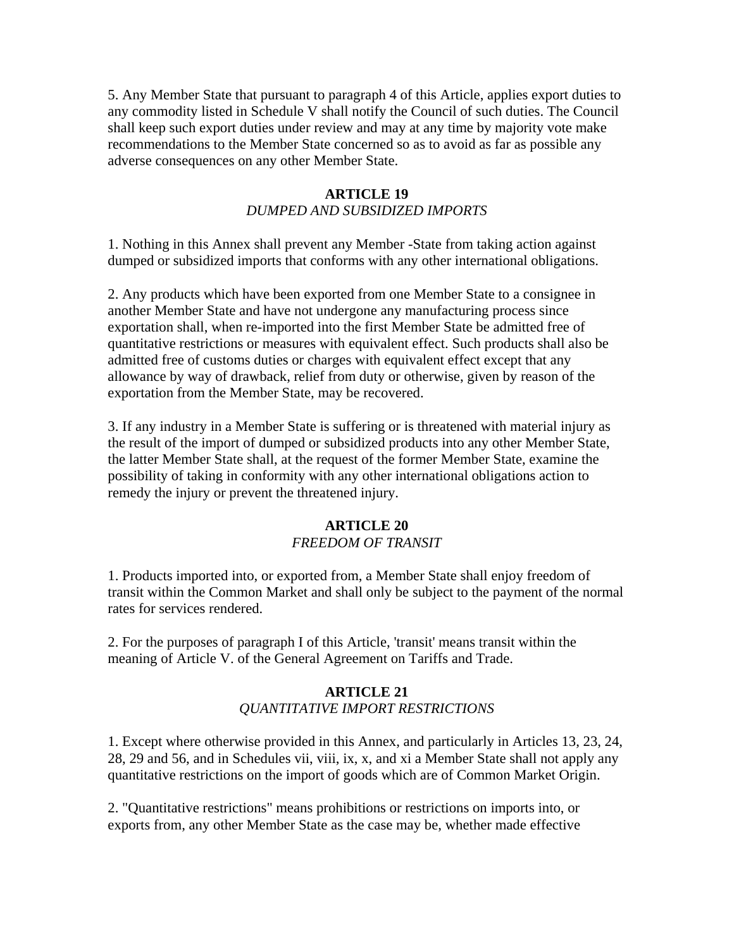5. Any Member State that pursuant to paragraph 4 of this Article, applies export duties to any commodity listed in Schedule V shall notify the Council of such duties. The Council shall keep such export duties under review and may at any time by majority vote make recommendations to the Member State concerned so as to avoid as far as possible any adverse consequences on any other Member State.

#### **ARTICLE 19** *DUMPED AND SUBSIDIZED IMPORTS*

1. Nothing in this Annex shall prevent any Member -State from taking action against dumped or subsidized imports that conforms with any other international obligations.

2. Any products which have been exported from one Member State to a consignee in another Member State and have not undergone any manufacturing process since exportation shall, when re-imported into the first Member State be admitted free of quantitative restrictions or measures with equivalent effect. Such products shall also be admitted free of customs duties or charges with equivalent effect except that any allowance by way of drawback, relief from duty or otherwise, given by reason of the exportation from the Member State, may be recovered.

3. If any industry in a Member State is suffering or is threatened with material injury as the result of the import of dumped or subsidized products into any other Member State, the latter Member State shall, at the request of the former Member State, examine the possibility of taking in conformity with any other international obligations action to remedy the injury or prevent the threatened injury.

#### **ARTICLE 20**

#### *FREEDOM OF TRANSIT*

1. Products imported into, or exported from, a Member State shall enjoy freedom of transit within the Common Market and shall only be subject to the payment of the normal rates for services rendered.

2. For the purposes of paragraph I of this Article, 'transit' means transit within the meaning of Article V. of the General Agreement on Tariffs and Trade.

# **ARTICLE 21** *QUANTITATIVE IMPORT RESTRICTIONS*

1. Except where otherwise provided in this Annex, and particularly in Articles 13, 23, 24, 28, 29 and 56, and in Schedules vii, viii, ix, x, and xi a Member State shall not apply any quantitative restrictions on the import of goods which are of Common Market Origin.

2. "Quantitative restrictions" means prohibitions or restrictions on imports into, or exports from, any other Member State as the case may be, whether made effective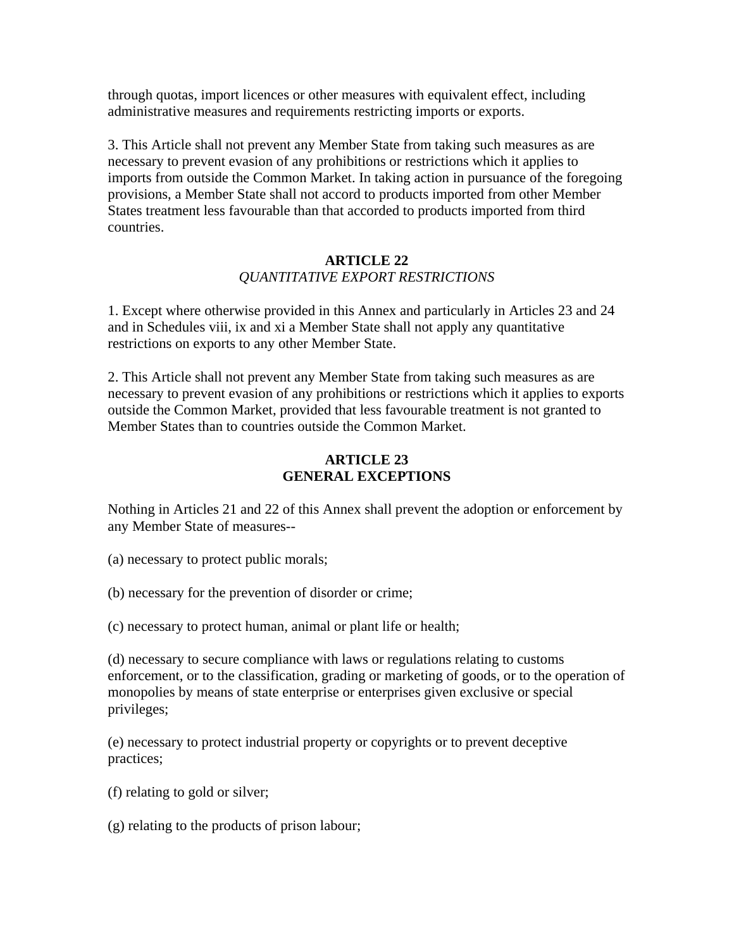through quotas, import licences or other measures with equivalent effect, including administrative measures and requirements restricting imports or exports.

3. This Article shall not prevent any Member State from taking such measures as are necessary to prevent evasion of any prohibitions or restrictions which it applies to imports from outside the Common Market. In taking action in pursuance of the foregoing provisions, a Member State shall not accord to products imported from other Member States treatment less favourable than that accorded to products imported from third countries.

# **ARTICLE 22** *QUANTITATIVE EXPORT RESTRICTIONS*

1. Except where otherwise provided in this Annex and particularly in Articles 23 and 24 and in Schedules viii, ix and xi a Member State shall not apply any quantitative restrictions on exports to any other Member State.

2. This Article shall not prevent any Member State from taking such measures as are necessary to prevent evasion of any prohibitions or restrictions which it applies to exports outside the Common Market, provided that less favourable treatment is not granted to Member States than to countries outside the Common Market.

#### **ARTICLE 23 GENERAL EXCEPTIONS**

Nothing in Articles 21 and 22 of this Annex shall prevent the adoption or enforcement by any Member State of measures--

(a) necessary to protect public morals;

(b) necessary for the prevention of disorder or crime;

(c) necessary to protect human, animal or plant life or health;

(d) necessary to secure compliance with laws or regulations relating to customs enforcement, or to the classification, grading or marketing of goods, or to the operation of monopolies by means of state enterprise or enterprises given exclusive or special privileges;

(e) necessary to protect industrial property or copyrights or to prevent deceptive practices;

(f) relating to gold or silver;

(g) relating to the products of prison labour;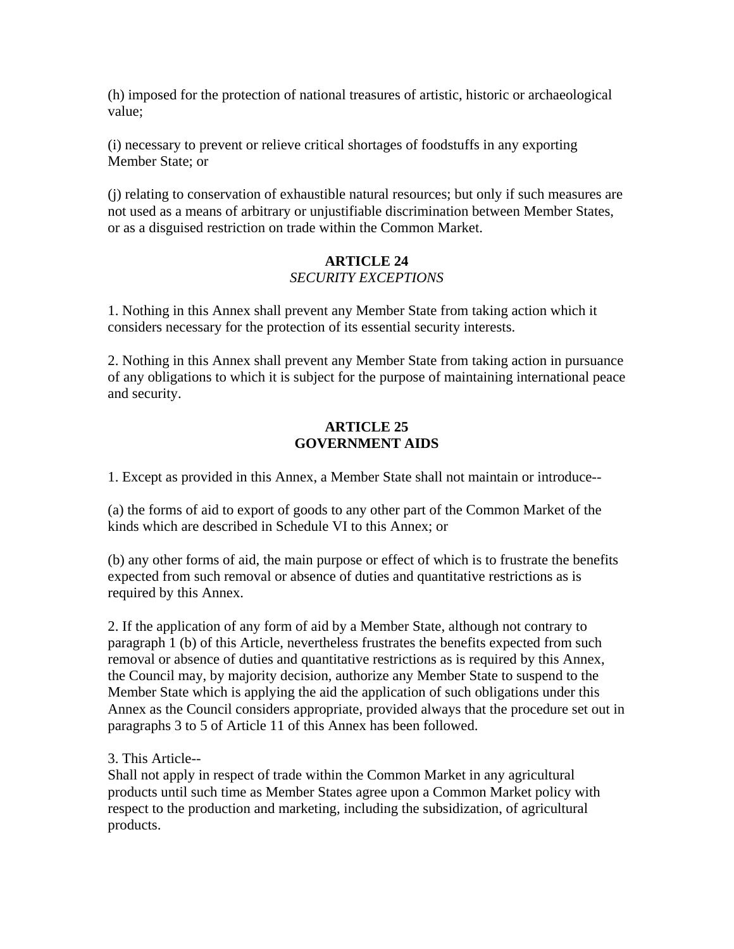(h) imposed for the protection of national treasures of artistic, historic or archaeological value;

(i) necessary to prevent or relieve critical shortages of foodstuffs in any exporting Member State; or

(j) relating to conservation of exhaustible natural resources; but only if such measures are not used as a means of arbitrary or unjustifiable discrimination between Member States, or as a disguised restriction on trade within the Common Market.

#### **ARTICLE 24** *SECURITY EXCEPTIONS*

1. Nothing in this Annex shall prevent any Member State from taking action which it considers necessary for the protection of its essential security interests.

2. Nothing in this Annex shall prevent any Member State from taking action in pursuance of any obligations to which it is subject for the purpose of maintaining international peace and security.

# **ARTICLE 25 GOVERNMENT AIDS**

1. Except as provided in this Annex, a Member State shall not maintain or introduce--

(a) the forms of aid to export of goods to any other part of the Common Market of the kinds which are described in Schedule VI to this Annex; or

(b) any other forms of aid, the main purpose or effect of which is to frustrate the benefits expected from such removal or absence of duties and quantitative restrictions as is required by this Annex.

2. If the application of any form of aid by a Member State, although not contrary to paragraph 1 (b) of this Article, nevertheless frustrates the benefits expected from such removal or absence of duties and quantitative restrictions as is required by this Annex, the Council may, by majority decision, authorize any Member State to suspend to the Member State which is applying the aid the application of such obligations under this Annex as the Council considers appropriate, provided always that the procedure set out in paragraphs 3 to 5 of Article 11 of this Annex has been followed.

3. This Article--

Shall not apply in respect of trade within the Common Market in any agricultural products until such time as Member States agree upon a Common Market policy with respect to the production and marketing, including the subsidization, of agricultural products.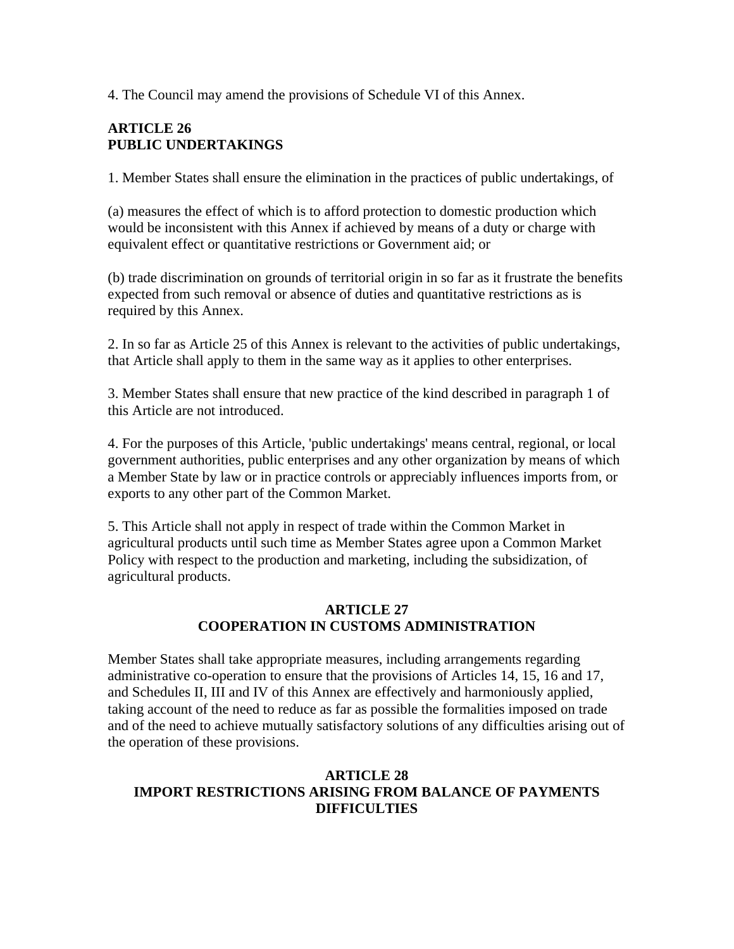4. The Council may amend the provisions of Schedule VI of this Annex.

# **ARTICLE 26 PUBLIC UNDERTAKINGS**

1. Member States shall ensure the elimination in the practices of public undertakings, of

(a) measures the effect of which is to afford protection to domestic production which would be inconsistent with this Annex if achieved by means of a duty or charge with equivalent effect or quantitative restrictions or Government aid; or

(b) trade discrimination on grounds of territorial origin in so far as it frustrate the benefits expected from such removal or absence of duties and quantitative restrictions as is required by this Annex.

2. In so far as Article 25 of this Annex is relevant to the activities of public undertakings, that Article shall apply to them in the same way as it applies to other enterprises.

3. Member States shall ensure that new practice of the kind described in paragraph 1 of this Article are not introduced.

4. For the purposes of this Article, 'public undertakings' means central, regional, or local government authorities, public enterprises and any other organization by means of which a Member State by law or in practice controls or appreciably influences imports from, or exports to any other part of the Common Market.

5. This Article shall not apply in respect of trade within the Common Market in agricultural products until such time as Member States agree upon a Common Market Policy with respect to the production and marketing, including the subsidization, of agricultural products.

# **ARTICLE 27 COOPERATION IN CUSTOMS ADMINISTRATION**

Member States shall take appropriate measures, including arrangements regarding administrative co-operation to ensure that the provisions of Articles 14, 15, 16 and 17, and Schedules II, III and IV of this Annex are effectively and harmoniously applied, taking account of the need to reduce as far as possible the formalities imposed on trade and of the need to achieve mutually satisfactory solutions of any difficulties arising out of the operation of these provisions.

### **ARTICLE 28 IMPORT RESTRICTIONS ARISING FROM BALANCE OF PAYMENTS DIFFICULTIES**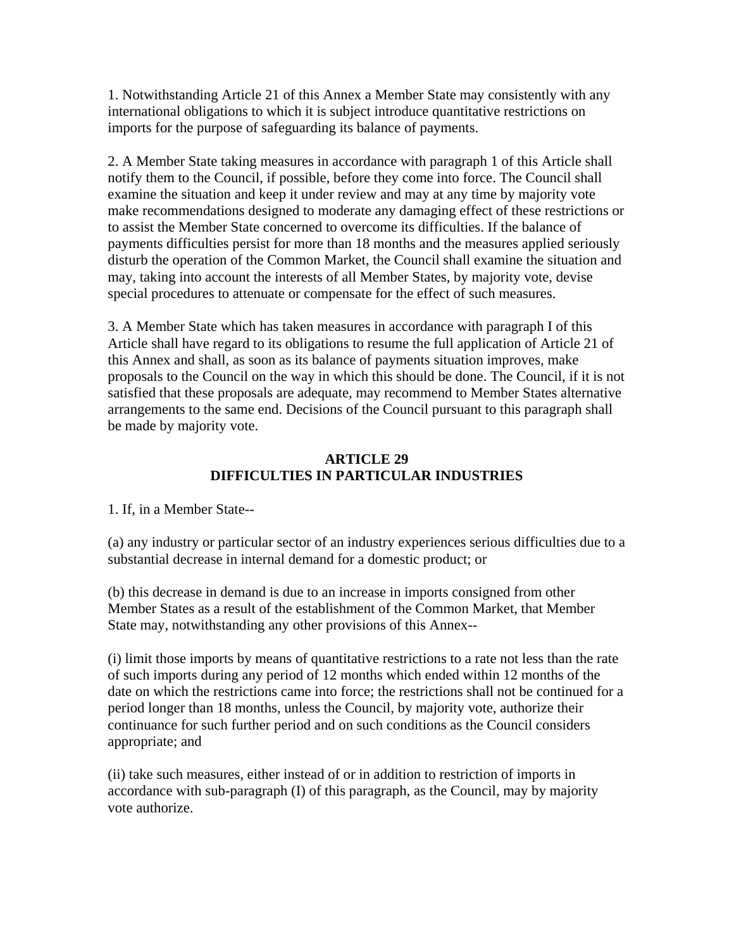1. Notwithstanding Article 21 of this Annex a Member State may consistently with any international obligations to which it is subject introduce quantitative restrictions on imports for the purpose of safeguarding its balance of payments.

2. A Member State taking measures in accordance with paragraph 1 of this Article shall notify them to the Council, if possible, before they come into force. The Council shall examine the situation and keep it under review and may at any time by majority vote make recommendations designed to moderate any damaging effect of these restrictions or to assist the Member State concerned to overcome its difficulties. If the balance of payments difficulties persist for more than 18 months and the measures applied seriously disturb the operation of the Common Market, the Council shall examine the situation and may, taking into account the interests of all Member States, by majority vote, devise special procedures to attenuate or compensate for the effect of such measures.

3. A Member State which has taken measures in accordance with paragraph I of this Article shall have regard to its obligations to resume the full application of Article 21 of this Annex and shall, as soon as its balance of payments situation improves, make proposals to the Council on the way in which this should be done. The Council, if it is not satisfied that these proposals are adequate, may recommend to Member States alternative arrangements to the same end. Decisions of the Council pursuant to this paragraph shall be made by majority vote.

# **ARTICLE 29 DIFFICULTIES IN PARTICULAR INDUSTRIES**

1. If, in a Member State--

(a) any industry or particular sector of an industry experiences serious difficulties due to a substantial decrease in internal demand for a domestic product; or

(b) this decrease in demand is due to an increase in imports consigned from other Member States as a result of the establishment of the Common Market, that Member State may, notwithstanding any other provisions of this Annex--

(i) limit those imports by means of quantitative restrictions to a rate not less than the rate of such imports during any period of 12 months which ended within 12 months of the date on which the restrictions came into force; the restrictions shall not be continued for a period longer than 18 months, unless the Council, by majority vote, authorize their continuance for such further period and on such conditions as the Council considers appropriate; and

(ii) take such measures, either instead of or in addition to restriction of imports in accordance with sub-paragraph (I) of this paragraph, as the Council, may by majority vote authorize.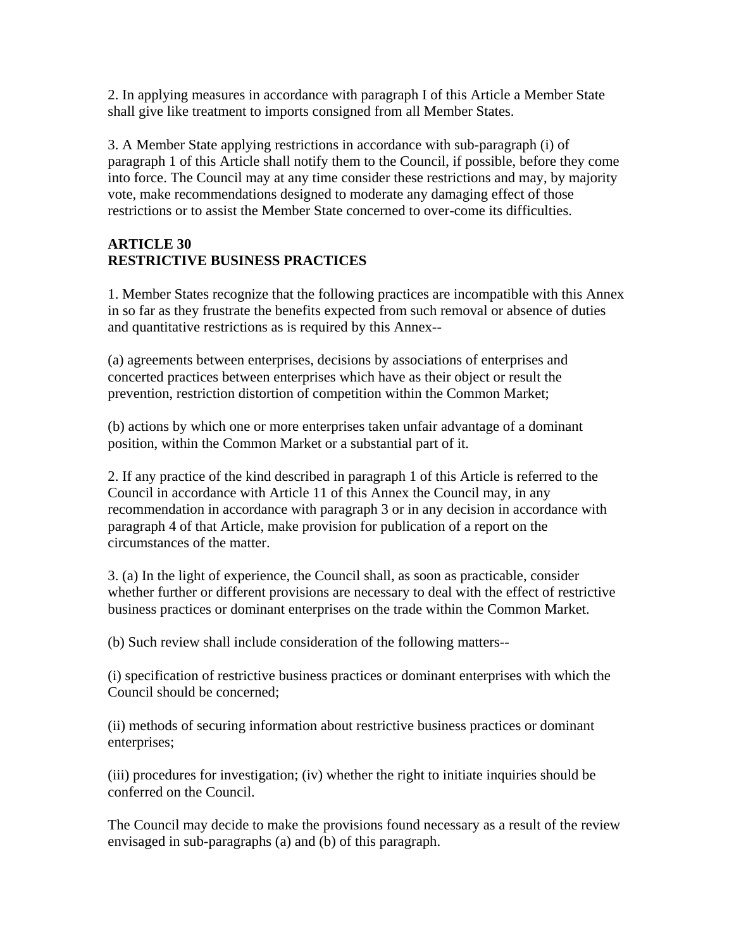2. In applying measures in accordance with paragraph I of this Article a Member State shall give like treatment to imports consigned from all Member States.

3. A Member State applying restrictions in accordance with sub-paragraph (i) of paragraph 1 of this Article shall notify them to the Council, if possible, before they come into force. The Council may at any time consider these restrictions and may, by majority vote, make recommendations designed to moderate any damaging effect of those restrictions or to assist the Member State concerned to over-come its difficulties.

# **ARTICLE 30 RESTRICTIVE BUSINESS PRACTICES**

1. Member States recognize that the following practices are incompatible with this Annex in so far as they frustrate the benefits expected from such removal or absence of duties and quantitative restrictions as is required by this Annex--

(a) agreements between enterprises, decisions by associations of enterprises and concerted practices between enterprises which have as their object or result the prevention, restriction distortion of competition within the Common Market;

(b) actions by which one or more enterprises taken unfair advantage of a dominant position, within the Common Market or a substantial part of it.

2. If any practice of the kind described in paragraph 1 of this Article is referred to the Council in accordance with Article 11 of this Annex the Council may, in any recommendation in accordance with paragraph 3 or in any decision in accordance with paragraph 4 of that Article, make provision for publication of a report on the circumstances of the matter.

3. (a) In the light of experience, the Council shall, as soon as practicable, consider whether further or different provisions are necessary to deal with the effect of restrictive business practices or dominant enterprises on the trade within the Common Market.

(b) Such review shall include consideration of the following matters--

(i) specification of restrictive business practices or dominant enterprises with which the Council should be concerned;

(ii) methods of securing information about restrictive business practices or dominant enterprises;

(iii) procedures for investigation; (iv) whether the right to initiate inquiries should be conferred on the Council.

The Council may decide to make the provisions found necessary as a result of the review envisaged in sub-paragraphs (a) and (b) of this paragraph.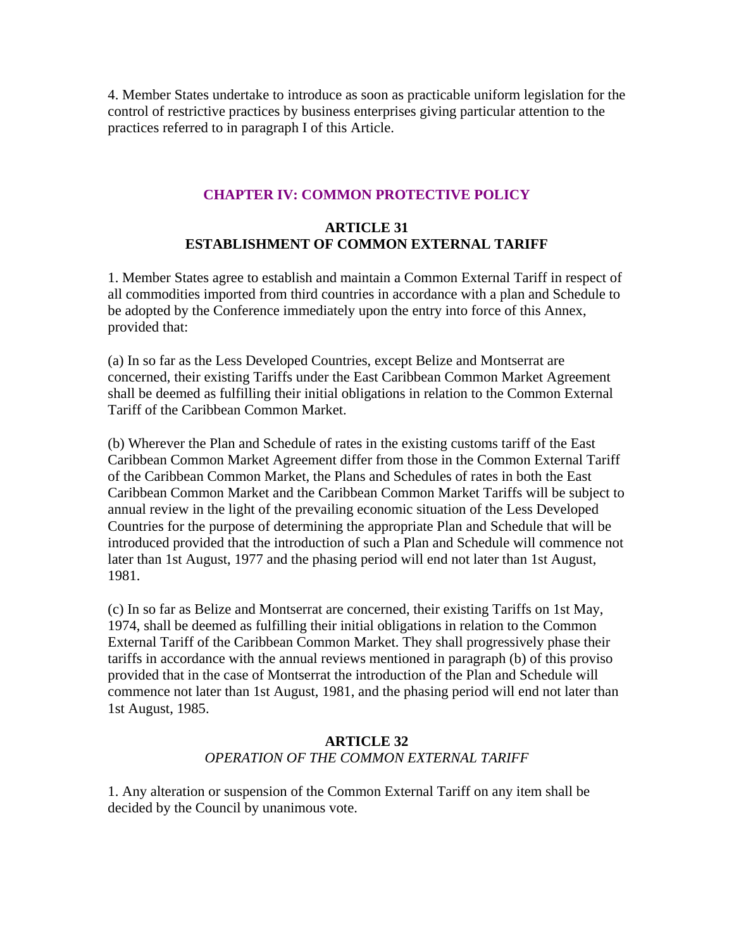4. Member States undertake to introduce as soon as practicable uniform legislation for the control of restrictive practices by business enterprises giving particular attention to the practices referred to in paragraph I of this Article.

# **CHAPTER IV: COMMON PROTECTIVE POLICY**

# **ARTICLE 31 ESTABLISHMENT OF COMMON EXTERNAL TARIFF**

1. Member States agree to establish and maintain a Common External Tariff in respect of all commodities imported from third countries in accordance with a plan and Schedule to be adopted by the Conference immediately upon the entry into force of this Annex, provided that:

(a) In so far as the Less Developed Countries, except Belize and Montserrat are concerned, their existing Tariffs under the East Caribbean Common Market Agreement shall be deemed as fulfilling their initial obligations in relation to the Common External Tariff of the Caribbean Common Market.

(b) Wherever the Plan and Schedule of rates in the existing customs tariff of the East Caribbean Common Market Agreement differ from those in the Common External Tariff of the Caribbean Common Market, the Plans and Schedules of rates in both the East Caribbean Common Market and the Caribbean Common Market Tariffs will be subject to annual review in the light of the prevailing economic situation of the Less Developed Countries for the purpose of determining the appropriate Plan and Schedule that will be introduced provided that the introduction of such a Plan and Schedule will commence not later than 1st August, 1977 and the phasing period will end not later than 1st August, 1981.

(c) In so far as Belize and Montserrat are concerned, their existing Tariffs on 1st May, 1974, shall be deemed as fulfilling their initial obligations in relation to the Common External Tariff of the Caribbean Common Market. They shall progressively phase their tariffs in accordance with the annual reviews mentioned in paragraph (b) of this proviso provided that in the case of Montserrat the introduction of the Plan and Schedule will commence not later than 1st August, 1981, and the phasing period will end not later than 1st August, 1985.

# **ARTICLE 32** *OPERATION OF THE COMMON EXTERNAL TARIFF*

1. Any alteration or suspension of the Common External Tariff on any item shall be decided by the Council by unanimous vote.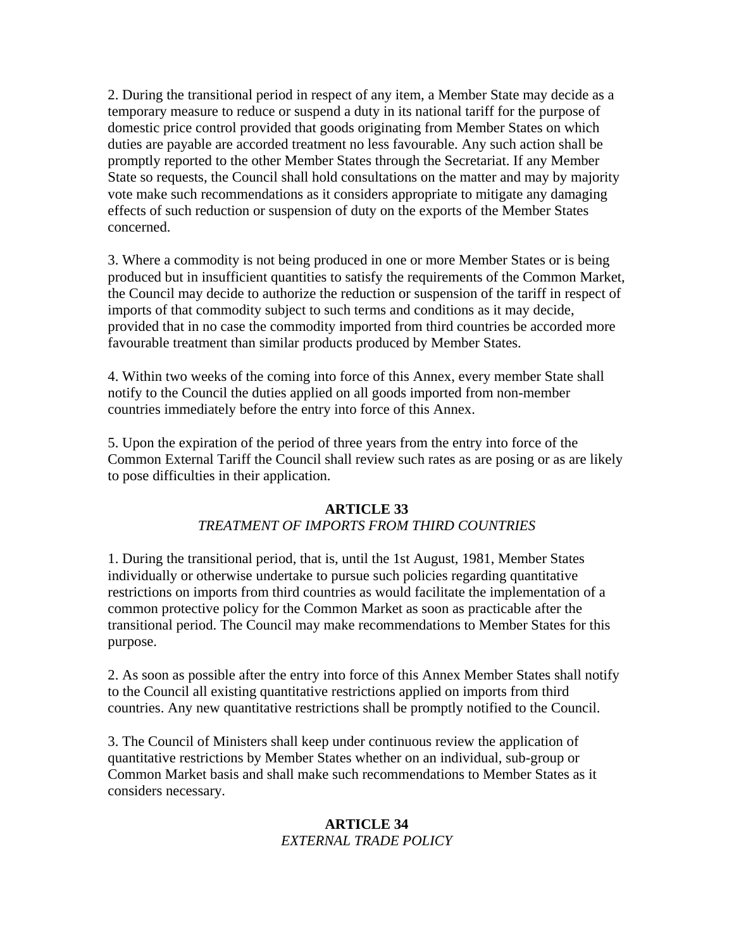2. During the transitional period in respect of any item, a Member State may decide as a temporary measure to reduce or suspend a duty in its national tariff for the purpose of domestic price control provided that goods originating from Member States on which duties are payable are accorded treatment no less favourable. Any such action shall be promptly reported to the other Member States through the Secretariat. If any Member State so requests, the Council shall hold consultations on the matter and may by majority vote make such recommendations as it considers appropriate to mitigate any damaging effects of such reduction or suspension of duty on the exports of the Member States concerned.

3. Where a commodity is not being produced in one or more Member States or is being produced but in insufficient quantities to satisfy the requirements of the Common Market, the Council may decide to authorize the reduction or suspension of the tariff in respect of imports of that commodity subject to such terms and conditions as it may decide, provided that in no case the commodity imported from third countries be accorded more favourable treatment than similar products produced by Member States.

4. Within two weeks of the coming into force of this Annex, every member State shall notify to the Council the duties applied on all goods imported from non-member countries immediately before the entry into force of this Annex.

5. Upon the expiration of the period of three years from the entry into force of the Common External Tariff the Council shall review such rates as are posing or as are likely to pose difficulties in their application.

#### **ARTICLE 33**

#### *TREATMENT OF IMPORTS FROM THIRD COUNTRIES*

1. During the transitional period, that is, until the 1st August, 1981, Member States individually or otherwise undertake to pursue such policies regarding quantitative restrictions on imports from third countries as would facilitate the implementation of a common protective policy for the Common Market as soon as practicable after the transitional period. The Council may make recommendations to Member States for this purpose.

2. As soon as possible after the entry into force of this Annex Member States shall notify to the Council all existing quantitative restrictions applied on imports from third countries. Any new quantitative restrictions shall be promptly notified to the Council.

3. The Council of Ministers shall keep under continuous review the application of quantitative restrictions by Member States whether on an individual, sub-group or Common Market basis and shall make such recommendations to Member States as it considers necessary.

#### **ARTICLE 34** *EXTERNAL TRADE POLICY*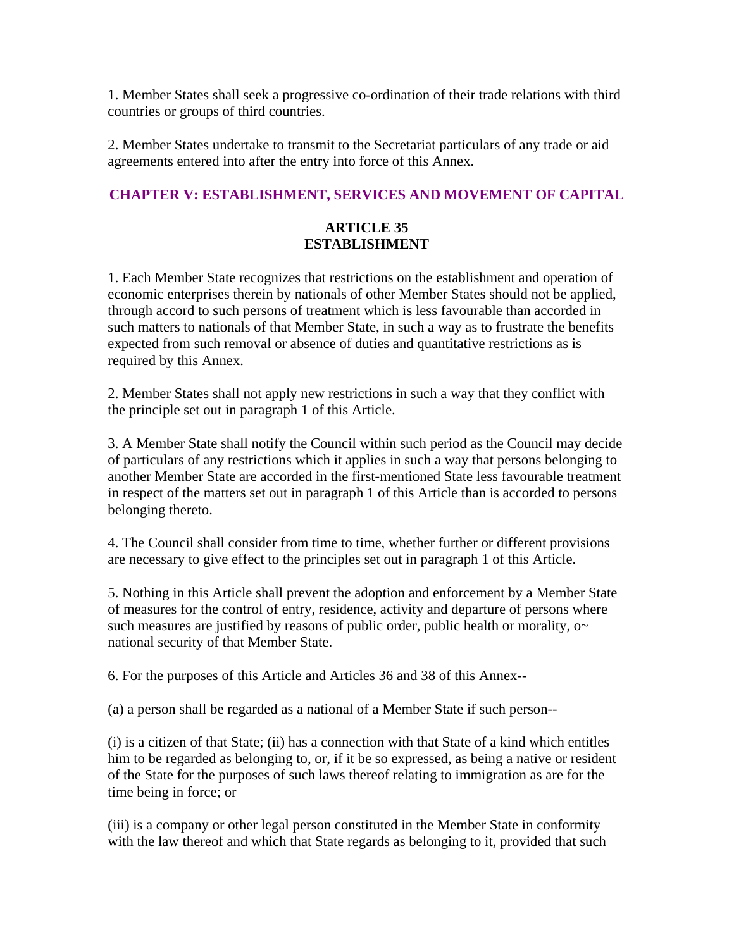1. Member States shall seek a progressive co-ordination of their trade relations with third countries or groups of third countries.

2. Member States undertake to transmit to the Secretariat particulars of any trade or aid agreements entered into after the entry into force of this Annex.

# **CHAPTER V: ESTABLISHMENT, SERVICES AND MOVEMENT OF CAPITAL**

#### **ARTICLE 35 ESTABLISHMENT**

1. Each Member State recognizes that restrictions on the establishment and operation of economic enterprises therein by nationals of other Member States should not be applied, through accord to such persons of treatment which is less favourable than accorded in such matters to nationals of that Member State, in such a way as to frustrate the benefits expected from such removal or absence of duties and quantitative restrictions as is required by this Annex.

2. Member States shall not apply new restrictions in such a way that they conflict with the principle set out in paragraph 1 of this Article.

3. A Member State shall notify the Council within such period as the Council may decide of particulars of any restrictions which it applies in such a way that persons belonging to another Member State are accorded in the first-mentioned State less favourable treatment in respect of the matters set out in paragraph 1 of this Article than is accorded to persons belonging thereto.

4. The Council shall consider from time to time, whether further or different provisions are necessary to give effect to the principles set out in paragraph 1 of this Article.

5. Nothing in this Article shall prevent the adoption and enforcement by a Member State of measures for the control of entry, residence, activity and departure of persons where such measures are justified by reasons of public order, public health or morality,  $o$ ~ national security of that Member State.

6. For the purposes of this Article and Articles 36 and 38 of this Annex--

(a) a person shall be regarded as a national of a Member State if such person--

(i) is a citizen of that State; (ii) has a connection with that State of a kind which entitles him to be regarded as belonging to, or, if it be so expressed, as being a native or resident of the State for the purposes of such laws thereof relating to immigration as are for the time being in force; or

(iii) is a company or other legal person constituted in the Member State in conformity with the law thereof and which that State regards as belonging to it, provided that such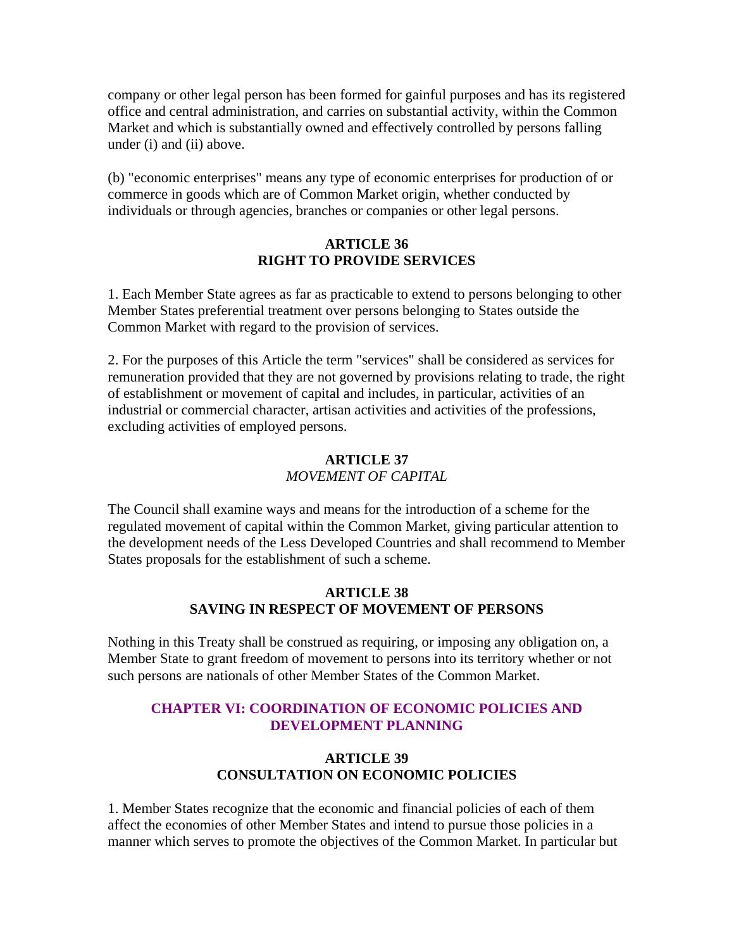company or other legal person has been formed for gainful purposes and has its registered office and central administration, and carries on substantial activity, within the Common Market and which is substantially owned and effectively controlled by persons falling under (i) and (ii) above.

(b) "economic enterprises" means any type of economic enterprises for production of or commerce in goods which are of Common Market origin, whether conducted by individuals or through agencies, branches or companies or other legal persons.

#### **ARTICLE 36 RIGHT TO PROVIDE SERVICES**

1. Each Member State agrees as far as practicable to extend to persons belonging to other Member States preferential treatment over persons belonging to States outside the Common Market with regard to the provision of services.

2. For the purposes of this Article the term "services" shall be considered as services for remuneration provided that they are not governed by provisions relating to trade, the right of establishment or movement of capital and includes, in particular, activities of an industrial or commercial character, artisan activities and activities of the professions, excluding activities of employed persons.

#### **ARTICLE 37** *MOVEMENT OF CAPITAL*

The Council shall examine ways and means for the introduction of a scheme for the regulated movement of capital within the Common Market, giving particular attention to the development needs of the Less Developed Countries and shall recommend to Member States proposals for the establishment of such a scheme.

### **ARTICLE 38 SAVING IN RESPECT OF MOVEMENT OF PERSONS**

Nothing in this Treaty shall be construed as requiring, or imposing any obligation on, a Member State to grant freedom of movement to persons into its territory whether or not such persons are nationals of other Member States of the Common Market.

# **CHAPTER VI: COORDINATION OF ECONOMIC POLICIES AND DEVELOPMENT PLANNING**

# **ARTICLE 39 CONSULTATION ON ECONOMIC POLICIES**

1. Member States recognize that the economic and financial policies of each of them affect the economies of other Member States and intend to pursue those policies in a manner which serves to promote the objectives of the Common Market. In particular but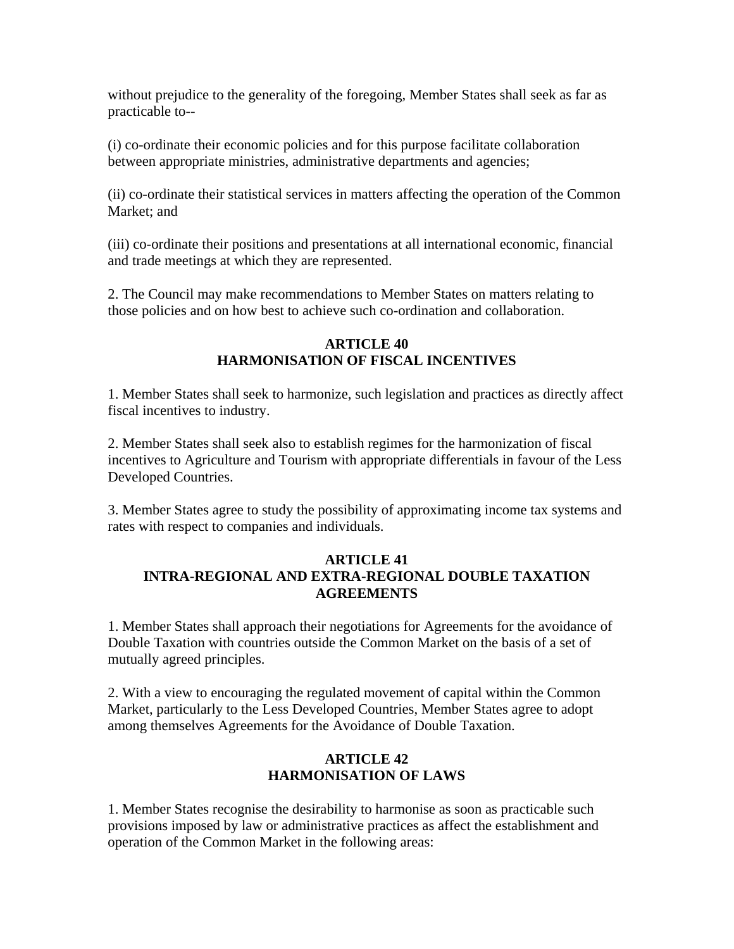without prejudice to the generality of the foregoing, Member States shall seek as far as practicable to--

(i) co-ordinate their economic policies and for this purpose facilitate collaboration between appropriate ministries, administrative departments and agencies;

(ii) co-ordinate their statistical services in matters affecting the operation of the Common Market; and

(iii) co-ordinate their positions and presentations at all international economic, financial and trade meetings at which they are represented.

2. The Council may make recommendations to Member States on matters relating to those policies and on how best to achieve such co-ordination and collaboration.

#### **ARTICLE 40 HARMONISATlON OF FISCAL INCENTIVES**

1. Member States shall seek to harmonize, such legislation and practices as directly affect fiscal incentives to industry.

2. Member States shall seek also to establish regimes for the harmonization of fiscal incentives to Agriculture and Tourism with appropriate differentials in favour of the Less Developed Countries.

3. Member States agree to study the possibility of approximating income tax systems and rates with respect to companies and individuals.

### **ARTICLE 41 INTRA-REGIONAL AND EXTRA-REGIONAL DOUBLE TAXATION AGREEMENTS**

1. Member States shall approach their negotiations for Agreements for the avoidance of Double Taxation with countries outside the Common Market on the basis of a set of mutually agreed principles.

2. With a view to encouraging the regulated movement of capital within the Common Market, particularly to the Less Developed Countries, Member States agree to adopt among themselves Agreements for the Avoidance of Double Taxation.

#### **ARTICLE 42 HARMONISATION OF LAWS**

1. Member States recognise the desirability to harmonise as soon as practicable such provisions imposed by law or administrative practices as affect the establishment and operation of the Common Market in the following areas: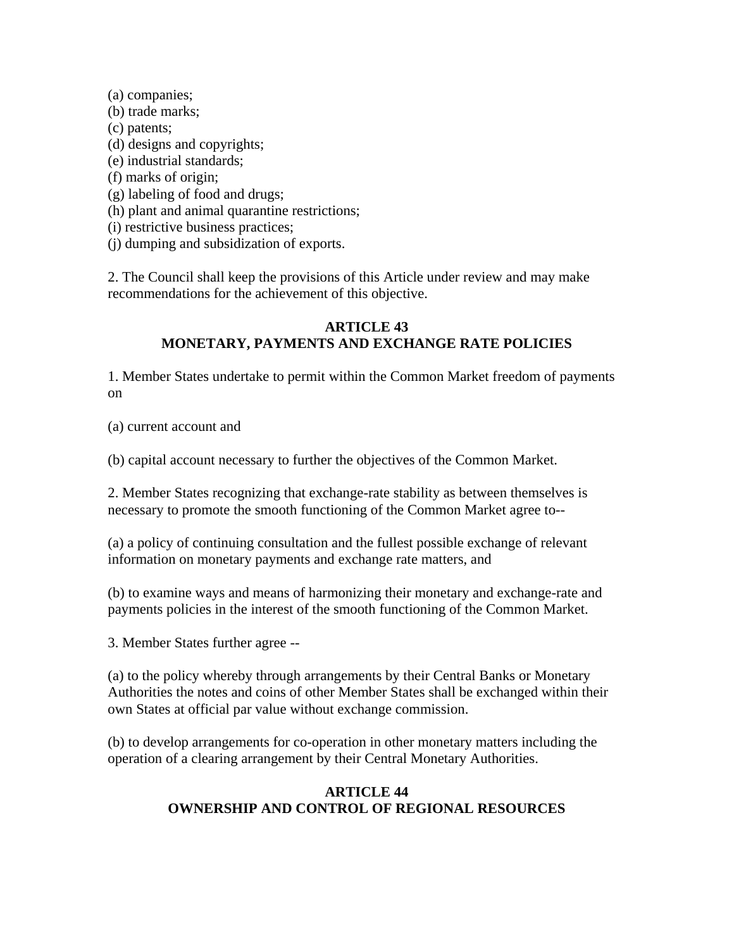(a) companies; (b) trade marks; (c) patents; (d) designs and copyrights; (e) industrial standards; (f) marks of origin; (g) labeling of food and drugs; (h) plant and animal quarantine restrictions; (i) restrictive business practices;

(j) dumping and subsidization of exports.

2. The Council shall keep the provisions of this Article under review and may make recommendations for the achievement of this objective.

#### **ARTICLE 43 MONETARY, PAYMENTS AND EXCHANGE RATE POLICIES**

1. Member States undertake to permit within the Common Market freedom of payments on

(a) current account and

(b) capital account necessary to further the objectives of the Common Market.

2. Member States recognizing that exchange-rate stability as between themselves is necessary to promote the smooth functioning of the Common Market agree to--

(a) a policy of continuing consultation and the fullest possible exchange of relevant information on monetary payments and exchange rate matters, and

(b) to examine ways and means of harmonizing their monetary and exchange-rate and payments policies in the interest of the smooth functioning of the Common Market.

3. Member States further agree --

(a) to the policy whereby through arrangements by their Central Banks or Monetary Authorities the notes and coins of other Member States shall be exchanged within their own States at official par value without exchange commission.

(b) to develop arrangements for co-operation in other monetary matters including the operation of a clearing arrangement by their Central Monetary Authorities.

#### **ARTICLE 44 OWNERSHIP AND CONTROL OF REGIONAL RESOURCES**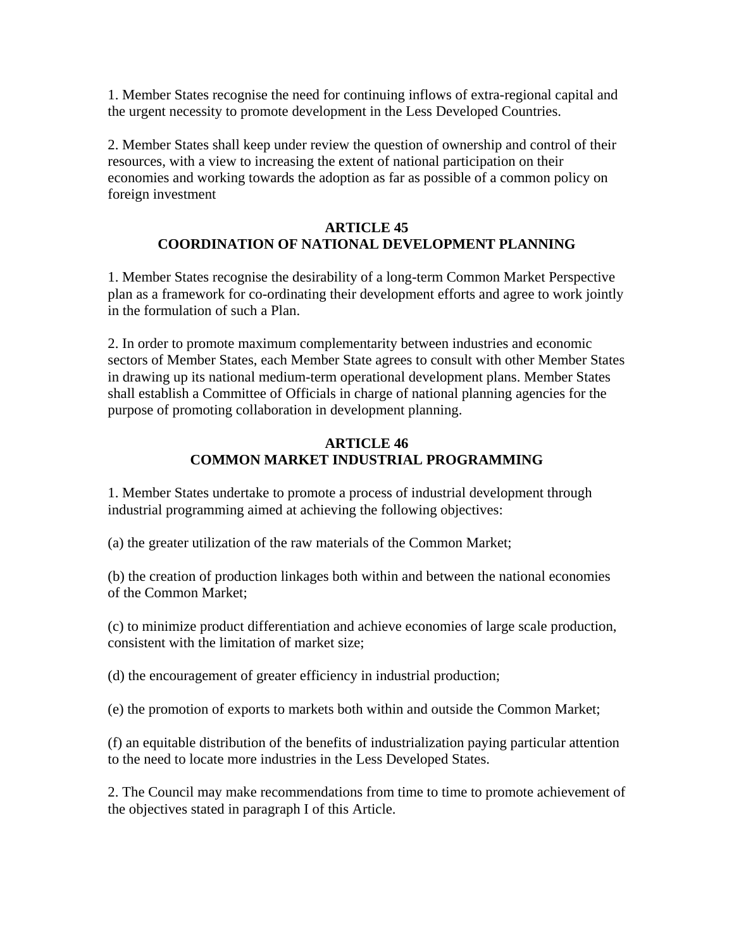1. Member States recognise the need for continuing inflows of extra-regional capital and the urgent necessity to promote development in the Less Developed Countries.

2. Member States shall keep under review the question of ownership and control of their resources, with a view to increasing the extent of national participation on their economies and working towards the adoption as far as possible of a common policy on foreign investment

### **ARTICLE 45 COORDINATION OF NATIONAL DEVELOPMENT PLANNING**

1. Member States recognise the desirability of a long-term Common Market Perspective plan as a framework for co-ordinating their development efforts and agree to work jointly in the formulation of such a Plan.

2. In order to promote maximum complementarity between industries and economic sectors of Member States, each Member State agrees to consult with other Member States in drawing up its national medium-term operational development plans. Member States shall establish a Committee of Officials in charge of national planning agencies for the purpose of promoting collaboration in development planning.

#### **ARTICLE 46 COMMON MARKET INDUSTRIAL PROGRAMMING**

1. Member States undertake to promote a process of industrial development through industrial programming aimed at achieving the following objectives:

(a) the greater utilization of the raw materials of the Common Market;

(b) the creation of production linkages both within and between the national economies of the Common Market;

(c) to minimize product differentiation and achieve economies of large scale production, consistent with the limitation of market size;

(d) the encouragement of greater efficiency in industrial production;

(e) the promotion of exports to markets both within and outside the Common Market;

(f) an equitable distribution of the benefits of industrialization paying particular attention to the need to locate more industries in the Less Developed States.

2. The Council may make recommendations from time to time to promote achievement of the objectives stated in paragraph I of this Article.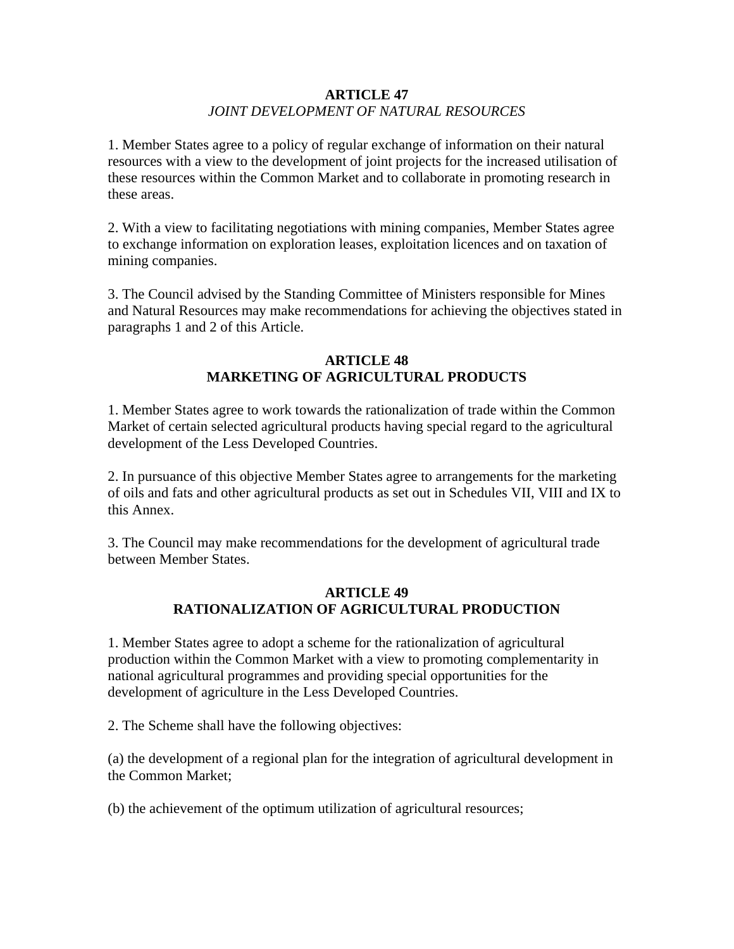### **ARTICLE 47** *JOINT DEVELOPMENT OF NATURAL RESOURCES*

1. Member States agree to a policy of regular exchange of information on their natural resources with a view to the development of joint projects for the increased utilisation of these resources within the Common Market and to collaborate in promoting research in these areas.

2. With a view to facilitating negotiations with mining companies, Member States agree to exchange information on exploration leases, exploitation licences and on taxation of mining companies.

3. The Council advised by the Standing Committee of Ministers responsible for Mines and Natural Resources may make recommendations for achieving the objectives stated in paragraphs 1 and 2 of this Article.

### **ARTICLE 48 MARKETING OF AGRICULTURAL PRODUCTS**

1. Member States agree to work towards the rationalization of trade within the Common Market of certain selected agricultural products having special regard to the agricultural development of the Less Developed Countries.

2. In pursuance of this objective Member States agree to arrangements for the marketing of oils and fats and other agricultural products as set out in Schedules VII, VIII and IX to this Annex.

3. The Council may make recommendations for the development of agricultural trade between Member States.

#### **ARTICLE 49 RATIONALIZATION OF AGRICULTURAL PRODUCTION**

1. Member States agree to adopt a scheme for the rationalization of agricultural production within the Common Market with a view to promoting complementarity in national agricultural programmes and providing special opportunities for the development of agriculture in the Less Developed Countries.

2. The Scheme shall have the following objectives:

(a) the development of a regional plan for the integration of agricultural development in the Common Market;

(b) the achievement of the optimum utilization of agricultural resources;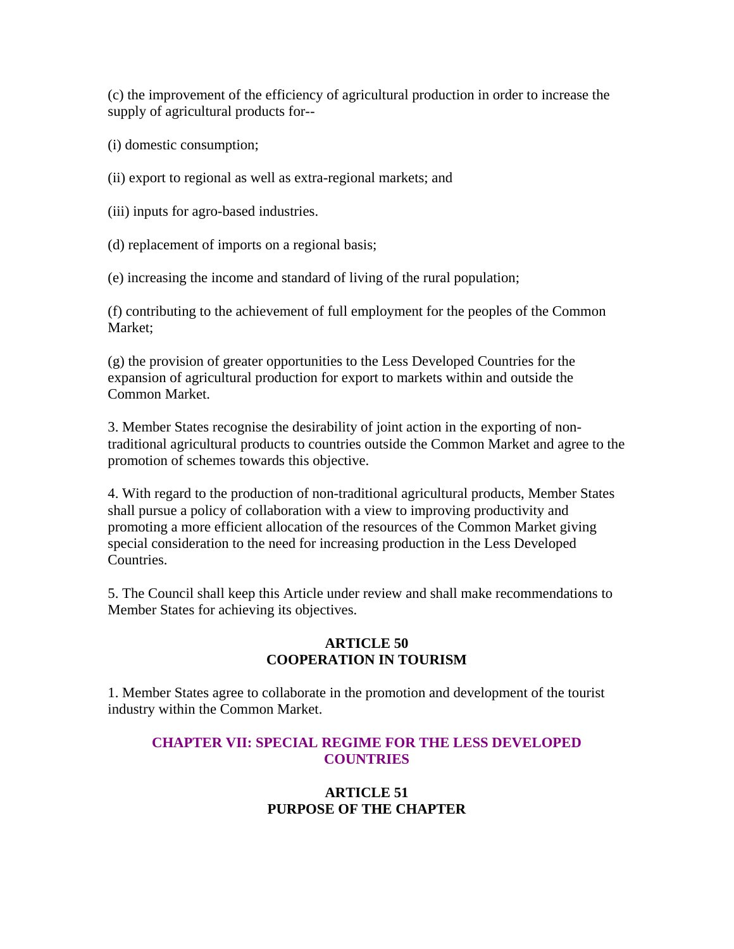(c) the improvement of the efficiency of agricultural production in order to increase the supply of agricultural products for--

(i) domestic consumption;

(ii) export to regional as well as extra-regional markets; and

(iii) inputs for agro-based industries.

(d) replacement of imports on a regional basis;

(e) increasing the income and standard of living of the rural population;

(f) contributing to the achievement of full employment for the peoples of the Common Market;

(g) the provision of greater opportunities to the Less Developed Countries for the expansion of agricultural production for export to markets within and outside the Common Market.

3. Member States recognise the desirability of joint action in the exporting of nontraditional agricultural products to countries outside the Common Market and agree to the promotion of schemes towards this objective.

4. With regard to the production of non-traditional agricultural products, Member States shall pursue a policy of collaboration with a view to improving productivity and promoting a more efficient allocation of the resources of the Common Market giving special consideration to the need for increasing production in the Less Developed Countries.

5. The Council shall keep this Article under review and shall make recommendations to Member States for achieving its objectives.

# **ARTICLE 50 COOPERATION IN TOURISM**

1. Member States agree to collaborate in the promotion and development of the tourist industry within the Common Market.

#### **CHAPTER VII: SPECIAL REGIME FOR THE LESS DEVELOPED COUNTRIES**

# **ARTICLE 51 PURPOSE OF THE CHAPTER**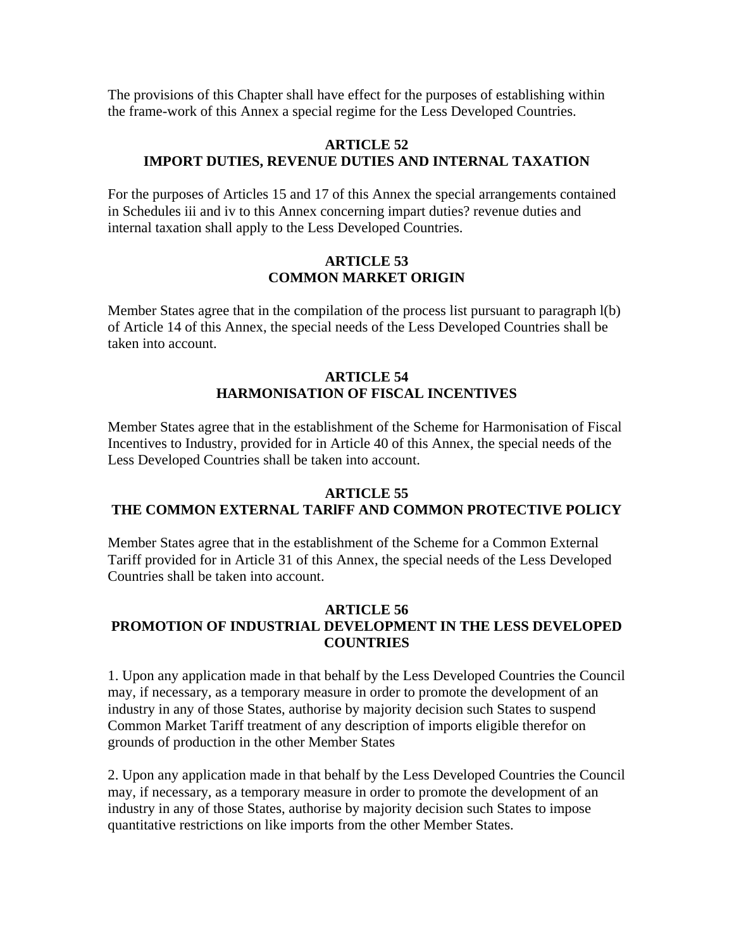The provisions of this Chapter shall have effect for the purposes of establishing within the frame-work of this Annex a special regime for the Less Developed Countries.

#### **ARTICLE 52 IMPORT DUTIES, REVENUE DUTIES AND INTERNAL TAXATION**

For the purposes of Articles 15 and 17 of this Annex the special arrangements contained in Schedules iii and iv to this Annex concerning impart duties? revenue duties and internal taxation shall apply to the Less Developed Countries.

#### **ARTICLE 53 COMMON MARKET ORIGIN**

Member States agree that in the compilation of the process list pursuant to paragraph l(b) of Article 14 of this Annex, the special needs of the Less Developed Countries shall be taken into account.

#### **ARTICLE 54 HARMONISATION OF FISCAL INCENTIVES**

Member States agree that in the establishment of the Scheme for Harmonisation of Fiscal Incentives to Industry, provided for in Article 40 of this Annex, the special needs of the Less Developed Countries shall be taken into account.

#### **ARTICLE 55**

#### **THE COMMON EXTERNAL TARlFF AND COMMON PROTECTIVE POLICY**

Member States agree that in the establishment of the Scheme for a Common External Tariff provided for in Article 31 of this Annex, the special needs of the Less Developed Countries shall be taken into account.

#### **ARTICLE 56 PROMOTION OF INDUSTRIAL DEVELOPMENT IN THE LESS DEVELOPED COUNTRIES**

1. Upon any application made in that behalf by the Less Developed Countries the Council may, if necessary, as a temporary measure in order to promote the development of an industry in any of those States, authorise by majority decision such States to suspend Common Market Tariff treatment of any description of imports eligible therefor on grounds of production in the other Member States

2. Upon any application made in that behalf by the Less Developed Countries the Council may, if necessary, as a temporary measure in order to promote the development of an industry in any of those States, authorise by majority decision such States to impose quantitative restrictions on like imports from the other Member States.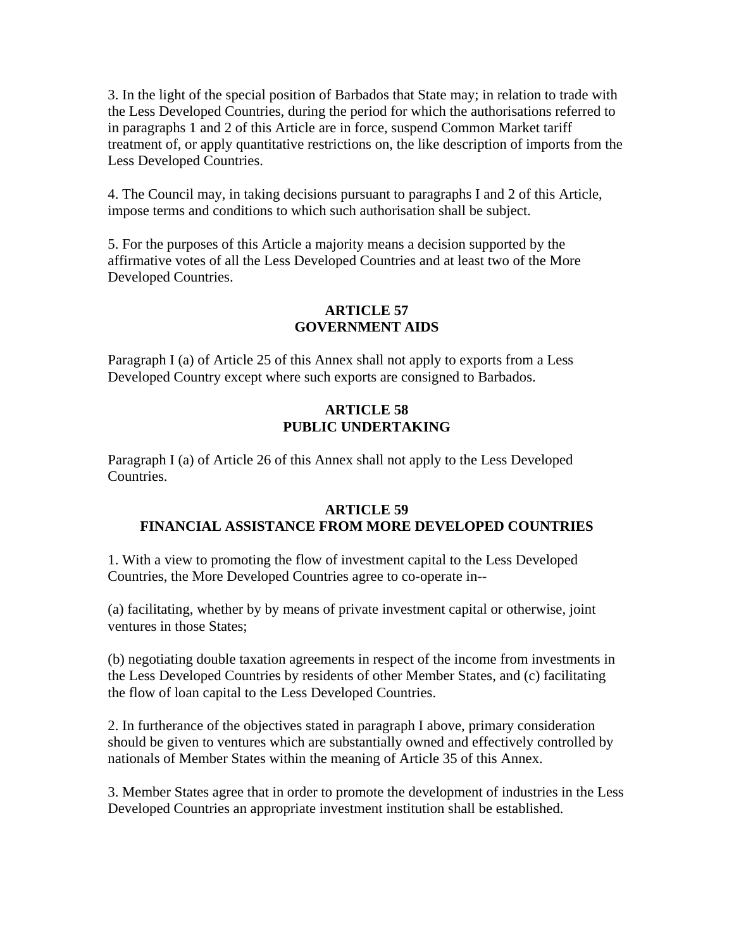3. In the light of the special position of Barbados that State may; in relation to trade with the Less Developed Countries, during the period for which the authorisations referred to in paragraphs 1 and 2 of this Article are in force, suspend Common Market tariff treatment of, or apply quantitative restrictions on, the like description of imports from the Less Developed Countries.

4. The Council may, in taking decisions pursuant to paragraphs I and 2 of this Article, impose terms and conditions to which such authorisation shall be subject.

5. For the purposes of this Article a majority means a decision supported by the affirmative votes of all the Less Developed Countries and at least two of the More Developed Countries.

# **ARTICLE 57 GOVERNMENT AIDS**

Paragraph I (a) of Article 25 of this Annex shall not apply to exports from a Less Developed Country except where such exports are consigned to Barbados.

#### **ARTICLE 58 PUBLIC UNDERTAKING**

Paragraph I (a) of Article 26 of this Annex shall not apply to the Less Developed Countries.

#### **ARTICLE 59 FINANCIAL ASSISTANCE FROM MORE DEVELOPED COUNTRIES**

1. With a view to promoting the flow of investment capital to the Less Developed Countries, the More Developed Countries agree to co-operate in--

(a) facilitating, whether by by means of private investment capital or otherwise, joint ventures in those States;

(b) negotiating double taxation agreements in respect of the income from investments in the Less Developed Countries by residents of other Member States, and (c) facilitating the flow of loan capital to the Less Developed Countries.

2. In furtherance of the objectives stated in paragraph I above, primary consideration should be given to ventures which are substantially owned and effectively controlled by nationals of Member States within the meaning of Article 35 of this Annex.

3. Member States agree that in order to promote the development of industries in the Less Developed Countries an appropriate investment institution shall be established.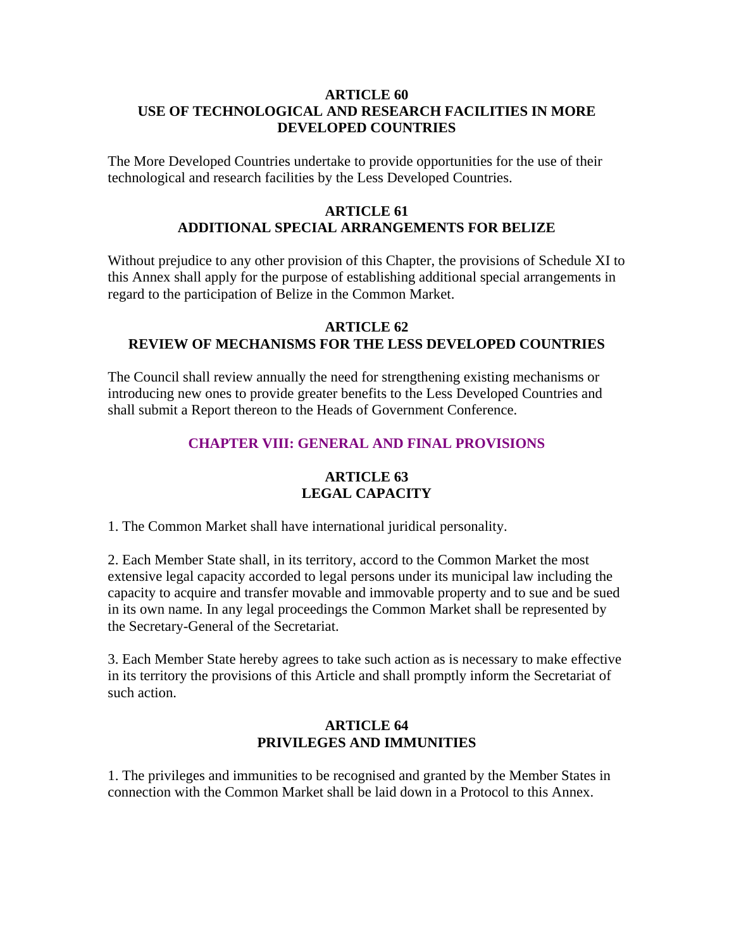#### **ARTICLE 60 USE OF TECHNOLOGICAL AND RESEARCH FACILITIES IN MORE DEVELOPED COUNTRIES**

The More Developed Countries undertake to provide opportunities for the use of their technological and research facilities by the Less Developed Countries.

# **ARTICLE 61 ADDITIONAL SPECIAL ARRANGEMENTS FOR BELIZE**

Without prejudice to any other provision of this Chapter, the provisions of Schedule XI to this Annex shall apply for the purpose of establishing additional special arrangements in regard to the participation of Belize in the Common Market.

#### **ARTICLE 62 REVIEW OF MECHANISMS FOR THE LESS DEVELOPED COUNTRIES**

The Council shall review annually the need for strengthening existing mechanisms or introducing new ones to provide greater benefits to the Less Developed Countries and shall submit a Report thereon to the Heads of Government Conference.

# **CHAPTER VIII: GENERAL AND FINAL PROVISIONS**

# **ARTICLE 63 LEGAL CAPACITY**

1. The Common Market shall have international juridical personality.

2. Each Member State shall, in its territory, accord to the Common Market the most extensive legal capacity accorded to legal persons under its municipal law including the capacity to acquire and transfer movable and immovable property and to sue and be sued in its own name. In any legal proceedings the Common Market shall be represented by the Secretary-General of the Secretariat.

3. Each Member State hereby agrees to take such action as is necessary to make effective in its territory the provisions of this Article and shall promptly inform the Secretariat of such action.

# **ARTICLE 64 PRIVILEGES AND IMMUNITIES**

1. The privileges and immunities to be recognised and granted by the Member States in connection with the Common Market shall be laid down in a Protocol to this Annex.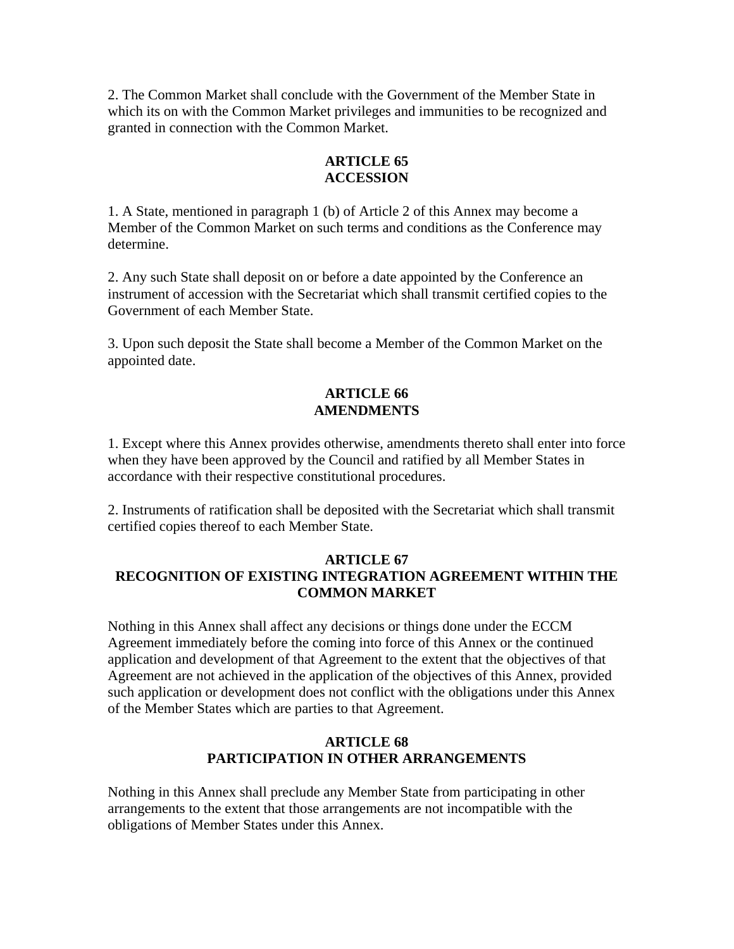2. The Common Market shall conclude with the Government of the Member State in which its on with the Common Market privileges and immunities to be recognized and granted in connection with the Common Market.

# **ARTICLE 65 ACCESSION**

1. A State, mentioned in paragraph 1 (b) of Article 2 of this Annex may become a Member of the Common Market on such terms and conditions as the Conference may determine.

2. Any such State shall deposit on or before a date appointed by the Conference an instrument of accession with the Secretariat which shall transmit certified copies to the Government of each Member State.

3. Upon such deposit the State shall become a Member of the Common Market on the appointed date.

### **ARTICLE 66 AMENDMENTS**

1. Except where this Annex provides otherwise, amendments thereto shall enter into force when they have been approved by the Council and ratified by all Member States in accordance with their respective constitutional procedures.

2. Instruments of ratification shall be deposited with the Secretariat which shall transmit certified copies thereof to each Member State.

# **ARTICLE 67 RECOGNITION OF EXISTING INTEGRATION AGREEMENT WITHIN THE COMMON MARKET**

Nothing in this Annex shall affect any decisions or things done under the ECCM Agreement immediately before the coming into force of this Annex or the continued application and development of that Agreement to the extent that the objectives of that Agreement are not achieved in the application of the objectives of this Annex, provided such application or development does not conflict with the obligations under this Annex of the Member States which are parties to that Agreement.

# **ARTICLE 68 PARTICIPATION IN OTHER ARRANGEMENTS**

Nothing in this Annex shall preclude any Member State from participating in other arrangements to the extent that those arrangements are not incompatible with the obligations of Member States under this Annex.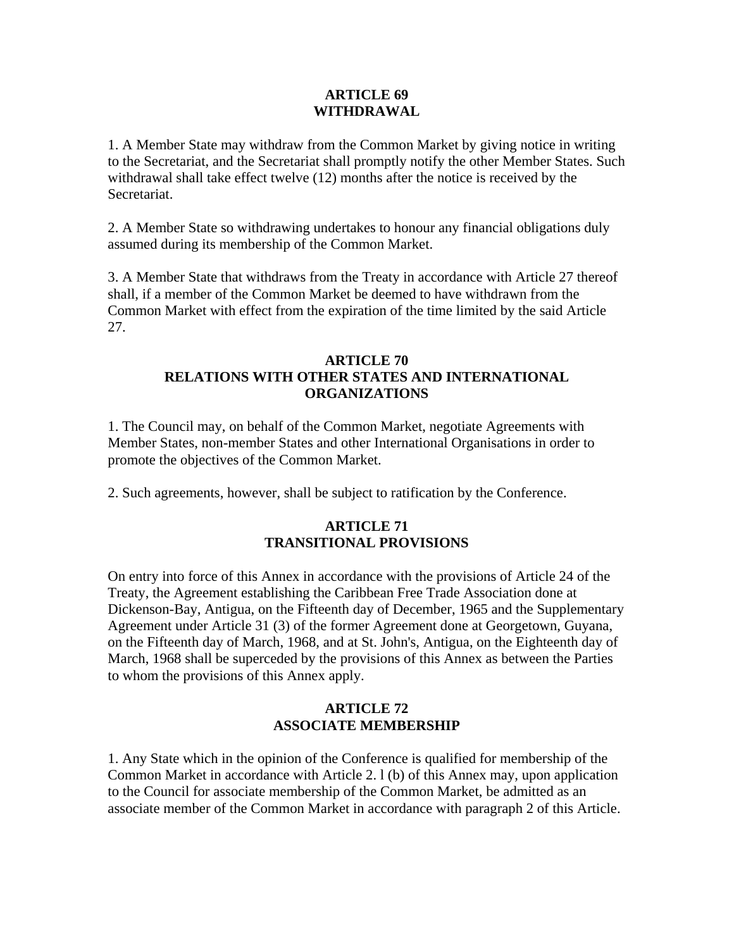#### **ARTICLE 69 WITHDRAWAL**

1. A Member State may withdraw from the Common Market by giving notice in writing to the Secretariat, and the Secretariat shall promptly notify the other Member States. Such withdrawal shall take effect twelve (12) months after the notice is received by the Secretariat.

2. A Member State so withdrawing undertakes to honour any financial obligations duly assumed during its membership of the Common Market.

3. A Member State that withdraws from the Treaty in accordance with Article 27 thereof shall, if a member of the Common Market be deemed to have withdrawn from the Common Market with effect from the expiration of the time limited by the said Article 27.

# **ARTICLE 70 RELATIONS WITH OTHER STATES AND INTERNATIONAL ORGANIZATIONS**

1. The Council may, on behalf of the Common Market, negotiate Agreements with Member States, non-member States and other International Organisations in order to promote the objectives of the Common Market.

2. Such agreements, however, shall be subject to ratification by the Conference.

# **ARTICLE 71 TRANSITIONAL PROVISIONS**

On entry into force of this Annex in accordance with the provisions of Article 24 of the Treaty, the Agreement establishing the Caribbean Free Trade Association done at Dickenson-Bay, Antigua, on the Fifteenth day of December, 1965 and the Supplementary Agreement under Article 31 (3) of the former Agreement done at Georgetown, Guyana, on the Fifteenth day of March, 1968, and at St. John's, Antigua, on the Eighteenth day of March, 1968 shall be superceded by the provisions of this Annex as between the Parties to whom the provisions of this Annex apply.

# **ARTICLE 72 ASSOCIATE MEMBERSHIP**

1. Any State which in the opinion of the Conference is qualified for membership of the Common Market in accordance with Article 2. l (b) of this Annex may, upon application to the Council for associate membership of the Common Market, be admitted as an associate member of the Common Market in accordance with paragraph 2 of this Article.